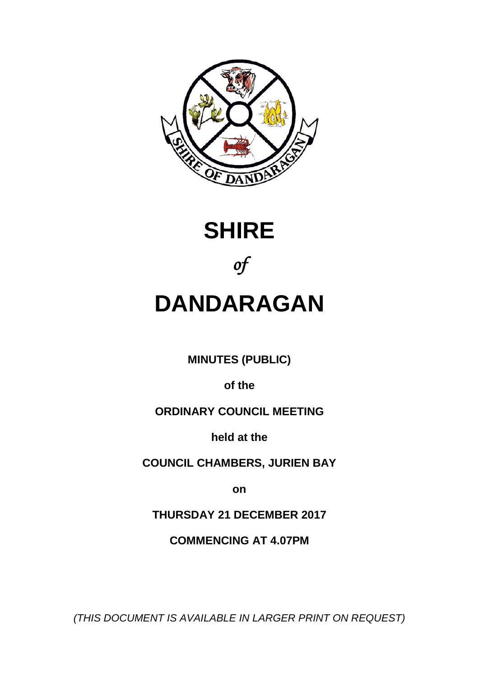





# **DANDARAGAN**

**MINUTES (PUBLIC)**

**of the**

## **ORDINARY COUNCIL MEETING**

**held at the**

**COUNCIL CHAMBERS, JURIEN BAY**

**on**

**THURSDAY 21 DECEMBER 2017**

**COMMENCING AT 4.07PM**

*(THIS DOCUMENT IS AVAILABLE IN LARGER PRINT ON REQUEST)*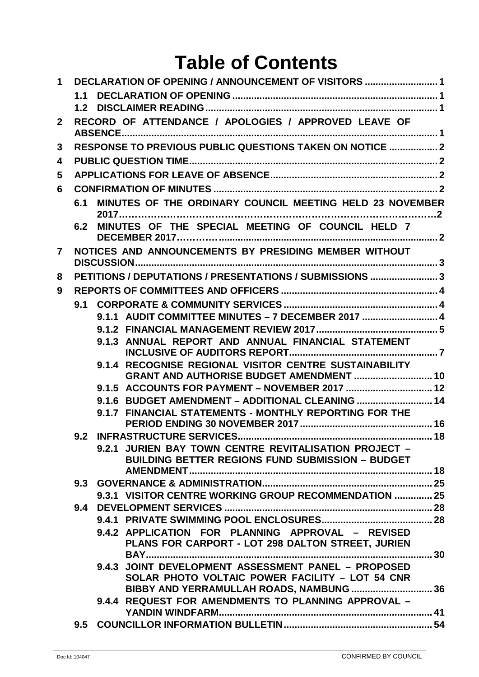## **Table of Contents**

| 1              |     |                                                                                                                      |  |
|----------------|-----|----------------------------------------------------------------------------------------------------------------------|--|
|                | 1.1 |                                                                                                                      |  |
|                | 1.2 |                                                                                                                      |  |
| $\mathbf{2}$   |     | RECORD OF ATTENDANCE / APOLOGIES / APPROVED LEAVE OF                                                                 |  |
| 3              |     | <b>RESPONSE TO PREVIOUS PUBLIC QUESTIONS TAKEN ON NOTICE  2</b>                                                      |  |
| 4              |     |                                                                                                                      |  |
| 5              |     |                                                                                                                      |  |
| 6              |     |                                                                                                                      |  |
|                | 6.1 | MINUTES OF THE ORDINARY COUNCIL MEETING HELD 23 NOVEMBER                                                             |  |
|                | 6.2 | MINUTES OF THE SPECIAL MEETING OF COUNCIL HELD 7                                                                     |  |
| $\overline{7}$ |     | NOTICES AND ANNOUNCEMENTS BY PRESIDING MEMBER WITHOUT                                                                |  |
| 8              |     | PETITIONS / DEPUTATIONS / PRESENTATIONS / SUBMISSIONS 3                                                              |  |
| 9              |     |                                                                                                                      |  |
|                | 9.1 |                                                                                                                      |  |
|                |     | 9.1.1 AUDIT COMMITTEE MINUTES - 7 DECEMBER 2017  4                                                                   |  |
|                |     |                                                                                                                      |  |
|                |     | 9.1.3 ANNUAL REPORT AND ANNUAL FINANCIAL STATEMENT                                                                   |  |
|                |     | 9.1.4 RECOGNISE REGIONAL VISITOR CENTRE SUSTAINABILITY<br>GRANT AND AUTHORISE BUDGET AMENDMENT  10                   |  |
|                |     | 9.1.5 ACCOUNTS FOR PAYMENT - NOVEMBER 2017  12                                                                       |  |
|                |     | 9.1.6 BUDGET AMENDMENT - ADDITIONAL CLEANING  14                                                                     |  |
|                |     | 9.1.7 FINANCIAL STATEMENTS - MONTHLY REPORTING FOR THE                                                               |  |
|                | 9.2 | 18                                                                                                                   |  |
|                |     | 9.2.1 JURIEN BAY TOWN CENTRE REVITALISATION PROJECT -<br>BUILDING BETTER REGIONS FUND SUBMISSION - BUDGET            |  |
|                |     |                                                                                                                      |  |
|                |     | 9.3.1 VISITOR CENTRE WORKING GROUP RECOMMENDATION  25                                                                |  |
|                | 9.4 |                                                                                                                      |  |
|                |     |                                                                                                                      |  |
|                |     | 9.4.2 APPLICATION FOR PLANNING APPROVAL - REVISED<br>PLANS FOR CARPORT - LOT 298 DALTON STREET, JURIEN               |  |
|                |     | <b>BAY</b><br>9.4.3 JOINT DEVELOPMENT ASSESSMENT PANEL - PROPOSED<br>SOLAR PHOTO VOLTAIC POWER FACILITY - LOT 54 CNR |  |
|                |     | BIBBY AND YERRAMULLAH ROADS, NAMBUNG  36<br>9.4.4 REQUEST FOR AMENDMENTS TO PLANNING APPROVAL -                      |  |
|                | 9.5 |                                                                                                                      |  |
|                |     |                                                                                                                      |  |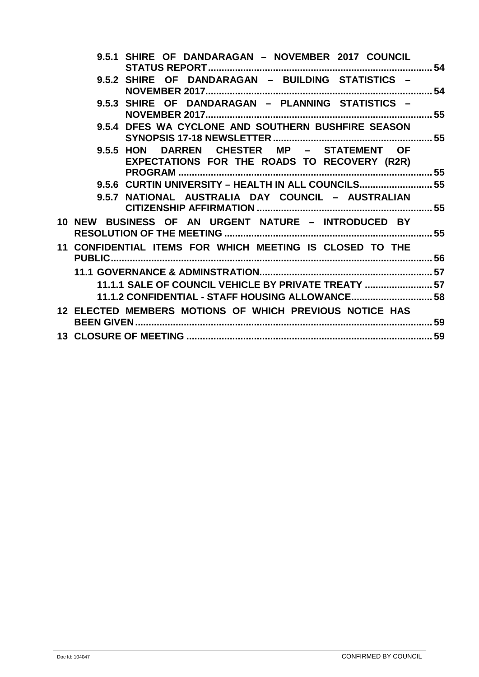| 9.5.1 SHIRE OF DANDARAGAN - NOVEMBER 2017 COUNCIL                                             |  |
|-----------------------------------------------------------------------------------------------|--|
| 9.5.2 SHIRE OF<br>DANDARAGAN - BUILDING STATISTICS -                                          |  |
| <b>9.5.3 SHIRE</b><br><b>OF</b><br>DANDARAGAN - PLANNING STATISTICS -                         |  |
| 9.5.4 DFES WA CYCLONE AND SOUTHERN BUSHFIRE SEASON                                            |  |
| DARREN CHESTER MP - STATEMENT OF<br>9.5.5 HON<br>EXPECTATIONS FOR THE ROADS TO RECOVERY (R2R) |  |
|                                                                                               |  |
| 9.5.6 CURTIN UNIVERSITY - HEALTH IN ALL COUNCILS 55                                           |  |
| 9.5.7 NATIONAL AUSTRALIA DAY COUNCIL - AUSTRALIAN                                             |  |
| 10 NEW BUSINESS OF AN URGENT NATURE - INTRODUCED BY                                           |  |
| 11 CONFIDENTIAL ITEMS FOR WHICH MEETING IS CLOSED TO THE                                      |  |
|                                                                                               |  |
|                                                                                               |  |
| 11.1.1 SALE OF COUNCIL VEHICLE BY PRIVATE TREATY  57                                          |  |
| 11.1.2 CONFIDENTIAL - STAFF HOUSING ALLOWANCE 58                                              |  |
| 12 ELECTED MEMBERS MOTIONS OF WHICH PREVIOUS NOTICE HAS                                       |  |
|                                                                                               |  |
|                                                                                               |  |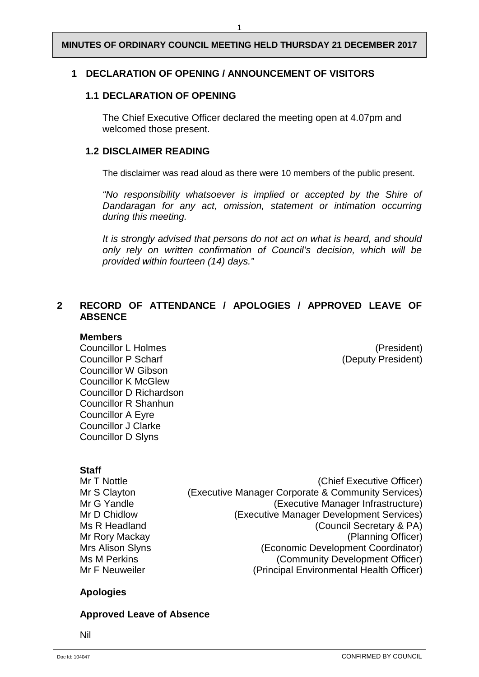## <span id="page-3-1"></span><span id="page-3-0"></span>**1 DECLARATION OF OPENING / ANNOUNCEMENT OF VISITORS**

#### **1.1 DECLARATION OF OPENING**

The Chief Executive Officer declared the meeting open at 4.07pm and welcomed those present.

#### <span id="page-3-2"></span>**1.2 DISCLAIMER READING**

The disclaimer was read aloud as there were 10 members of the public present.

*"No responsibility whatsoever is implied or accepted by the Shire of Dandaragan for any act, omission, statement or intimation occurring during this meeting.*

*It is strongly advised that persons do not act on what is heard, and should only rely on written confirmation of Council's decision, which will be provided within fourteen (14) days."*

## <span id="page-3-3"></span>**2 RECORD OF ATTENDANCE / APOLOGIES / APPROVED LEAVE OF ABSENCE**

#### **Members**

Councillor L Holmes (President) Councillor P Scharf (Deputy President) Councillor W Gibson Councillor K McGlew Councillor D Richardson Councillor R Shanhun Councillor A Eyre Councillor J Clarke Councillor D Slyns

## **Staff**<br>Mr T Nottl

| Mr T Nottle      | (Chief Executive Officer)                          |
|------------------|----------------------------------------------------|
| Mr S Clayton     | (Executive Manager Corporate & Community Services) |
| Mr G Yandle      | (Executive Manager Infrastructure)                 |
| Mr D Chidlow     | (Executive Manager Development Services)           |
| Ms R Headland    | (Council Secretary & PA)                           |
| Mr Rory Mackay   | (Planning Officer)                                 |
| Mrs Alison Slyns | (Economic Development Coordinator)                 |
| Ms M Perkins     | (Community Development Officer)                    |
| Mr F Neuweiler   | (Principal Environmental Health Officer)           |
|                  |                                                    |

## **Apologies**

## **Approved Leave of Absence**

Nil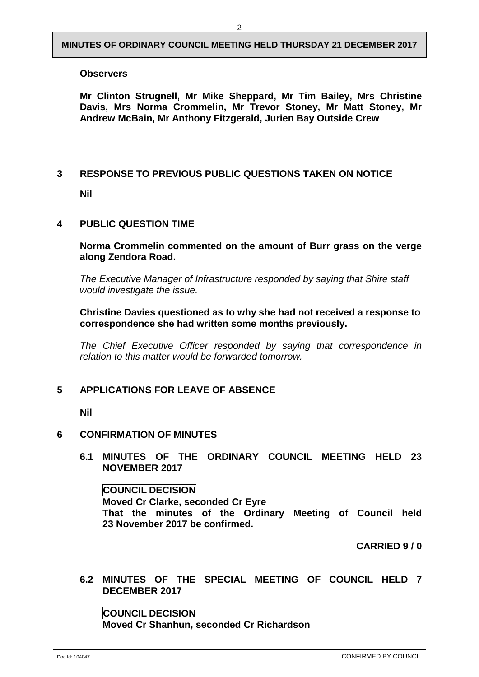#### **Observers**

**Mr Clinton Strugnell, Mr Mike Sheppard, Mr Tim Bailey, Mrs Christine Davis, Mrs Norma Crommelin, Mr Trevor Stoney, Mr Matt Stoney, Mr Andrew McBain, Mr Anthony Fitzgerald, Jurien Bay Outside Crew** 

## <span id="page-4-0"></span>**3 RESPONSE TO PREVIOUS PUBLIC QUESTIONS TAKEN ON NOTICE**

**Nil**

## <span id="page-4-1"></span>**4 PUBLIC QUESTION TIME**

**Norma Crommelin commented on the amount of Burr grass on the verge along Zendora Road.**

*The Executive Manager of Infrastructure responded by saying that Shire staff would investigate the issue.*

**Christine Davies questioned as to why she had not received a response to correspondence she had written some months previously.**

*The Chief Executive Officer responded by saying that correspondence in relation to this matter would be forwarded tomorrow.*

## <span id="page-4-2"></span>**5 APPLICATIONS FOR LEAVE OF ABSENCE**

**Nil**

#### <span id="page-4-4"></span><span id="page-4-3"></span>**6 CONFIRMATION OF MINUTES**

**6.1 MINUTES OF THE ORDINARY COUNCIL MEETING HELD 23 NOVEMBER 2017**

#### **COUNCIL DECISION**

**Moved Cr Clarke, seconded Cr Eyre That the minutes of the Ordinary Meeting of Council held 23 November 2017 be confirmed.** 

**CARRIED 9 / 0**

<span id="page-4-5"></span>**6.2 MINUTES OF THE SPECIAL MEETING OF COUNCIL HELD 7 DECEMBER 2017**

## **COUNCIL DECISION**

**Moved Cr Shanhun, seconded Cr Richardson**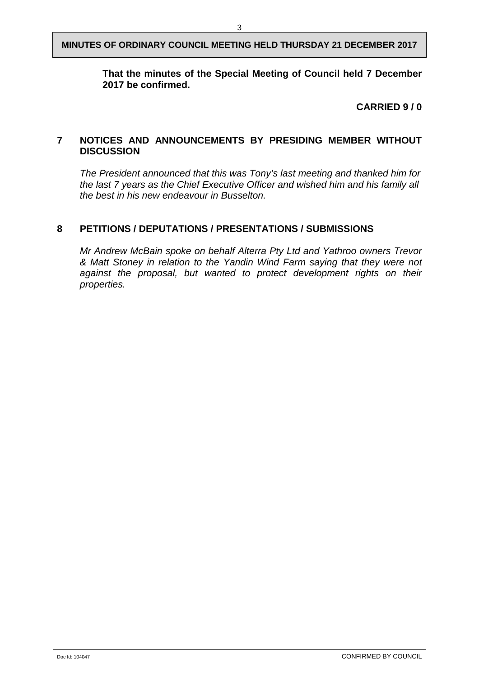## **That the minutes of the Special Meeting of Council held 7 December 2017 be confirmed.**

## **CARRIED 9 / 0**

## <span id="page-5-0"></span>**7 NOTICES AND ANNOUNCEMENTS BY PRESIDING MEMBER WITHOUT DISCUSSION**

*The President announced that this was Tony's last meeting and thanked him for the last 7 years as the Chief Executive Officer and wished him and his family all the best in his new endeavour in Busselton.*

## <span id="page-5-1"></span>**8 PETITIONS / DEPUTATIONS / PRESENTATIONS / SUBMISSIONS**

*Mr Andrew McBain spoke on behalf Alterra Pty Ltd and Yathroo owners Trevor & Matt Stoney in relation to the Yandin Wind Farm saying that they were not*  against the proposal, but wanted to protect development rights on their *properties.*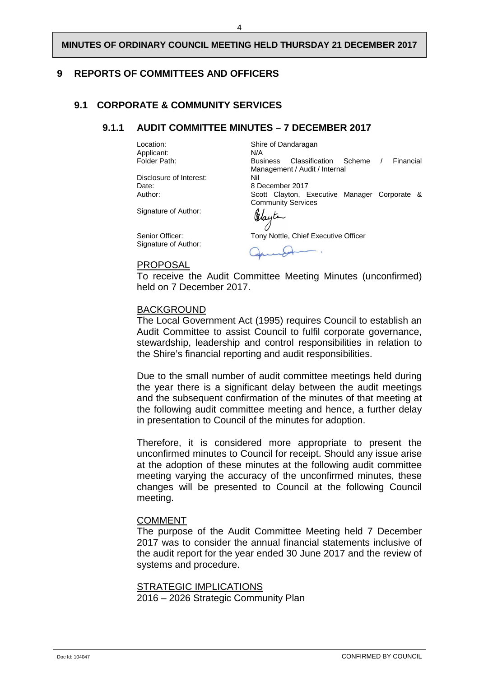## <span id="page-6-1"></span><span id="page-6-0"></span>**9 REPORTS OF COMMITTEES AND OFFICERS**

## <span id="page-6-2"></span>**9.1 CORPORATE & COMMUNITY SERVICES**

#### **9.1.1 AUDIT COMMITTEE MINUTES – 7 DECEMBER 2017**

Applicant:<br>Folder Path:

Disclosure of Interest:<br>Date: Date: 8 December 2017

Signature of Author:

Signature of Author:

#### PROPOSAL

Location: Shire of Dandaragan<br>Applicant: N/A Business Classification Scheme / Financial Management / Audit / Internal<br>Nil Scott Clayton, Executive Manager Corporate & Community Services

Mayte

Senior Officer: Tony Nottle, Chief Executive Officer

To receive the Audit Committee Meeting Minutes (unconfirmed) held on 7 December 2017.

#### BACKGROUND

The Local Government Act (1995) requires Council to establish an Audit Committee to assist Council to fulfil corporate governance, stewardship, leadership and control responsibilities in relation to the Shire's financial reporting and audit responsibilities.

Due to the small number of audit committee meetings held during the year there is a significant delay between the audit meetings and the subsequent confirmation of the minutes of that meeting at the following audit committee meeting and hence, a further delay in presentation to Council of the minutes for adoption.

Therefore, it is considered more appropriate to present the unconfirmed minutes to Council for receipt. Should any issue arise at the adoption of these minutes at the following audit committee meeting varying the accuracy of the unconfirmed minutes, these changes will be presented to Council at the following Council meeting.

#### **COMMENT**

The purpose of the Audit Committee Meeting held 7 December 2017 was to consider the annual financial statements inclusive of the audit report for the year ended 30 June 2017 and the review of systems and procedure.

STRATEGIC IMPLICATIONS 2016 – 2026 Strategic Community Plan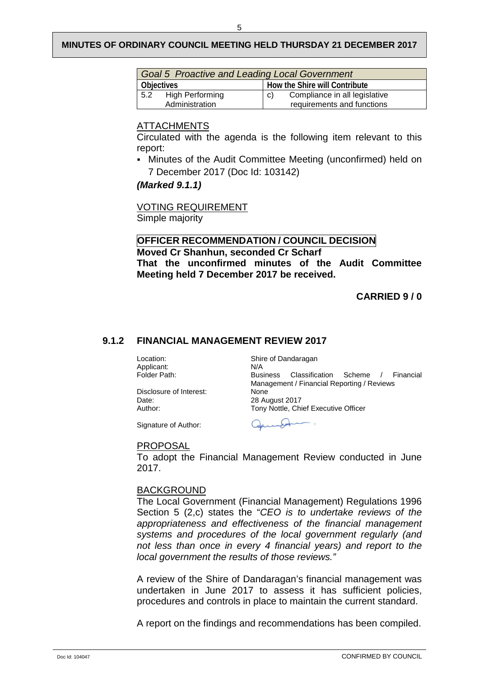| <b>Goal 5 Proactive and Leading Local Government</b> |  |                                     |                            |  |
|------------------------------------------------------|--|-------------------------------------|----------------------------|--|
| <b>Objectives</b>                                    |  | How the Shire will Contribute       |                            |  |
| 5.2 High Performing                                  |  | Compliance in all legislative<br>C) |                            |  |
| Administration                                       |  |                                     | requirements and functions |  |

#### ATTACHMENTS

Circulated with the agenda is the following item relevant to this report:

 Minutes of the Audit Committee Meeting (unconfirmed) held on 7 December 2017 (Doc Id: 103142)

#### *(Marked 9.1.1)*

VOTING REQUIREMENT Simple majority

## **OFFICER RECOMMENDATION / COUNCIL DECISION Moved Cr Shanhun, seconded Cr Scharf That the unconfirmed minutes of the Audit Committee Meeting held 7 December 2017 be received.**

#### **CARRIED 9 / 0**

#### <span id="page-7-0"></span>**9.1.2 FINANCIAL MANAGEMENT REVIEW 2017**

Applicant:<br>Folder Path:

Location: Shire of Dandaragan<br>Applicant: N/A [Business Classification Scheme / F](javascript:NavigateFolder()inancial Management / Financial Reporting / Reviews Disclosure of Interest: None<br>Date: 28 Au Date: 28 August 2017<br>
Author: 2017<br>
Tony Nottle, Ch Tony Nottle, Chief Executive Officer

Signature of Author:

 $\Delta$ 

#### PROPOSAL

To adopt the Financial Management Review conducted in June 2017.

#### BACKGROUND

The Local Government (Financial Management) Regulations 1996 Section 5 (2,c) states the "*CEO is to undertake reviews of the appropriateness and effectiveness of the financial management systems and procedures of the local government regularly (and not less than once in every 4 financial years) and report to the local government the results of those reviews."* 

A review of the Shire of Dandaragan's financial management was undertaken in June 2017 to assess it has sufficient policies, procedures and controls in place to maintain the current standard.

A report on the findings and recommendations has been compiled.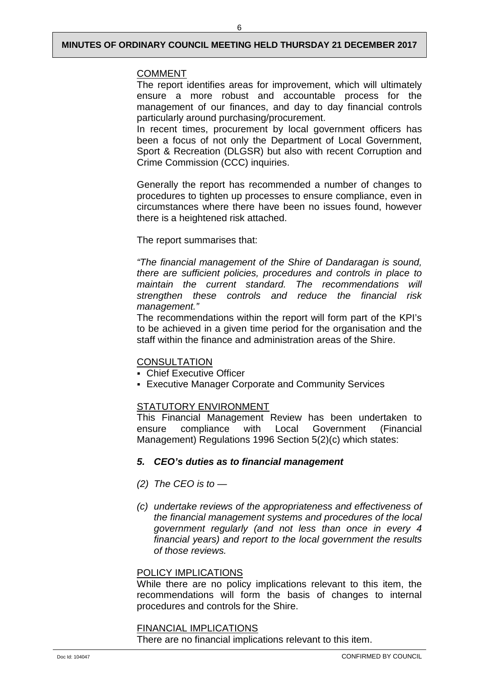## COMMENT

The report identifies areas for improvement, which will ultimately ensure a more robust and accountable process for the management of our finances, and day to day financial controls particularly around purchasing/procurement.

In recent times, procurement by local government officers has been a focus of not only the Department of Local Government, Sport & Recreation (DLGSR) but also with recent Corruption and Crime Commission (CCC) inquiries.

Generally the report has recommended a number of changes to procedures to tighten up processes to ensure compliance, even in circumstances where there have been no issues found, however there is a heightened risk attached.

The report summarises that:

*"The financial management of the Shire of Dandaragan is sound, there are sufficient policies, procedures and controls in place to maintain the current standard. The recommendations will strengthen these controls and reduce the financial risk management."*

The recommendations within the report will form part of the KPI's to be achieved in a given time period for the organisation and the staff within the finance and administration areas of the Shire.

## **CONSULTATION**

- Chief Executive Officer
- Executive Manager Corporate and Community Services

## STATUTORY ENVIRONMENT

This Financial Management Review has been undertaken to ensure compliance with Local Government (Financial Management) Regulations 1996 Section 5(2)(c) which states:

## *5. CEO's duties as to financial management*

- *(2) The CEO is to —*
- *(c) undertake reviews of the appropriateness and effectiveness of the financial management systems and procedures of the local government regularly (and not less than once in every 4 financial years) and report to the local government the results of those reviews.*

## POLICY IMPLICATIONS

While there are no policy implications relevant to this item, the recommendations will form the basis of changes to internal procedures and controls for the Shire.

#### FINANCIAL IMPLICATIONS

There are no financial implications relevant to this item.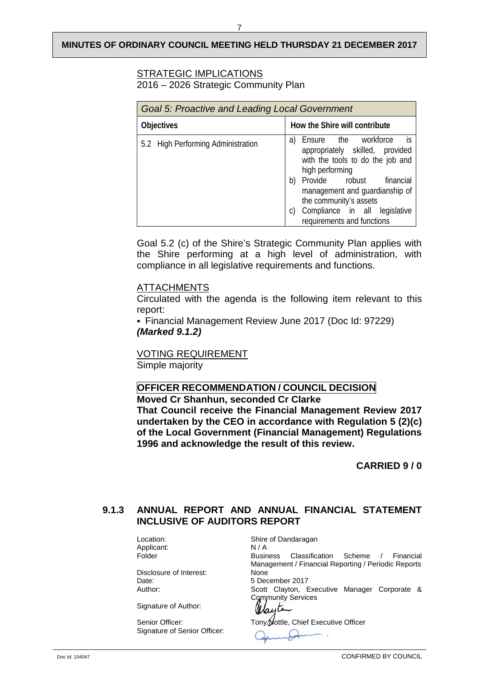## STRATEGIC IMPLICATIONS

2016 – 2026 Strategic Community Plan

| <b>Goal 5: Proactive and Leading Local Government</b> |                                                                                                                                                                                                                                                                                                  |  |  |  |
|-------------------------------------------------------|--------------------------------------------------------------------------------------------------------------------------------------------------------------------------------------------------------------------------------------------------------------------------------------------------|--|--|--|
| <b>Objectives</b>                                     | How the Shire will contribute                                                                                                                                                                                                                                                                    |  |  |  |
| 5.2 High Performing Administration                    | is is<br>a) Ensure the workforce<br>appropriately skilled, provided<br>with the tools to do the job and<br>high performing<br>Provide robust<br>financial<br>b)<br>management and guardianship of<br>the community's assets<br>Compliance in all legislative<br>C)<br>requirements and functions |  |  |  |

Goal 5.2 (c) of the Shire's Strategic Community Plan applies with the Shire performing at a high level of administration, with compliance in all legislative requirements and functions.

#### ATTACHMENTS

Circulated with the agenda is the following item relevant to this report:

 Financial Management Review June 2017 (Doc Id: 97229) *(Marked 9.1.2)*

VOTING REQUIREMENT Simple majority

## **OFFICER RECOMMENDATION / COUNCIL DECISION**

**Moved Cr Shanhun, seconded Cr Clarke That Council receive the Financial Management Review 2017 undertaken by the CEO in accordance with Regulation 5 (2)(c) of the Local Government (Financial Management) Regulations 1996 and acknowledge the result of this review.**

**CARRIED 9 / 0**

## <span id="page-9-0"></span>**9.1.3 ANNUAL REPORT AND ANNUAL FINANCIAL STATEMENT INCLUSIVE OF AUDITORS REPORT**

Applicant: N / A<br>Folder Busin

Disclosure of Interest: None<br>
Date: 5 Dec

Signature of Author:

Signature of Senior Officer:

Location: Shire of Dandaragan Business Classification Scheme / Financial Management / Financial Reporting / Periodic Reports 5 December 2017 Author: Scott Clayton, Executive Manager Corporate & Community Services

alayte

Senior Officer: Tony Mottle, Chief Executive Officer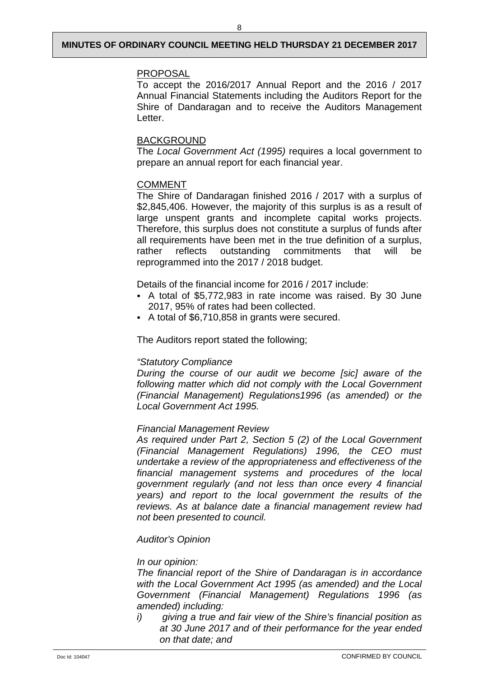#### PROPOSAL

To accept the 2016/2017 Annual Report and the 2016 / 2017 Annual Financial Statements including the Auditors Report for the Shire of Dandaragan and to receive the Auditors Management Letter.

#### BACKGROUND

The *Local Government Act (1995)* requires a local government to prepare an annual report for each financial year.

#### COMMENT

The Shire of Dandaragan finished 2016 / 2017 with a surplus of \$2,845,406. However, the majority of this surplus is as a result of large unspent grants and incomplete capital works projects. Therefore, this surplus does not constitute a surplus of funds after all requirements have been met in the true definition of a surplus, rather reflects outstanding commitments that will be rather reflects outstanding commitments that will be reprogrammed into the 2017 / 2018 budget.

Details of the financial income for 2016 / 2017 include:

- A total of \$5,772,983 in rate income was raised. By 30 June 2017, 95% of rates had been collected.
- A total of \$6,710,858 in grants were secured.

The Auditors report stated the following;

#### *"Statutory Compliance*

*During the course of our audit we become [sic] aware of the following matter which did not comply with the Local Government (Financial Management) Regulations1996 (as amended) or the Local Government Act 1995.*

#### *Financial Management Review*

*As required under Part 2, Section 5 (2) of the Local Government (Financial Management Regulations) 1996, the CEO must undertake a review of the appropriateness and effectiveness of the financial management systems and procedures of the local government regularly (and not less than once every 4 financial years) and report to the local government the results of the reviews. As at balance date a financial management review had not been presented to council.*

#### *Auditor's Opinion*

#### *In our opinion:*

*The financial report of the Shire of Dandaragan is in accordance with the Local Government Act 1995 (as amended) and the Local Government (Financial Management) Regulations 1996 (as amended) including:*

*i) giving a true and fair view of the Shire's financial position as at 30 June 2017 and of their performance for the year ended on that date; and*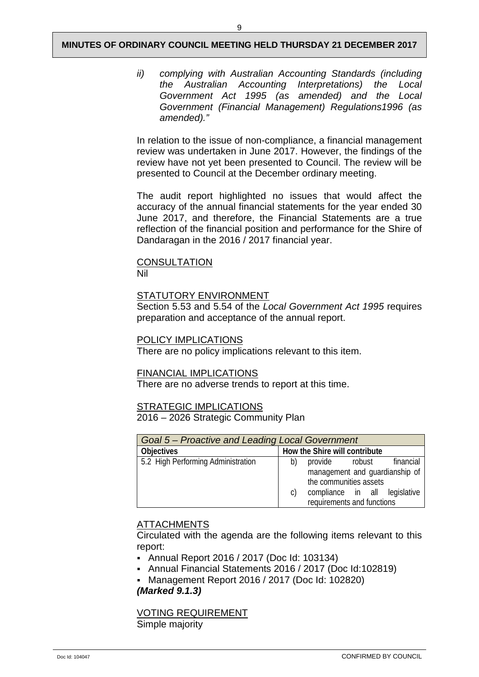*ii) complying with Australian Accounting Standards (including the Australian Accounting Interpretations) the Local Government Act 1995 (as amended) and the Local Government (Financial Management) Regulations1996 (as amended)."*

In relation to the issue of non-compliance, a financial management review was undertaken in June 2017. However, the findings of the review have not yet been presented to Council. The review will be presented to Council at the December ordinary meeting.

The audit report highlighted no issues that would affect the accuracy of the annual financial statements for the year ended 30 June 2017, and therefore, the Financial Statements are a true reflection of the financial position and performance for the Shire of Dandaragan in the 2016 / 2017 financial year.

#### **CONSULTATION** Nil

## STATUTORY ENVIRONMENT

Section 5.53 and 5.54 of the *Local Government Act 1995* requires preparation and acceptance of the annual report.

#### POLICY IMPLICATIONS

There are no policy implications relevant to this item.

#### FINANCIAL IMPLICATIONS

There are no adverse trends to report at this time.

## STRATEGIC IMPLICATIONS

2016 – 2026 Strategic Community Plan

| Goal 5 – Proactive and Leading Local Government    |                                     |           |  |  |  |
|----------------------------------------------------|-------------------------------------|-----------|--|--|--|
| How the Shire will contribute<br><b>Objectives</b> |                                     |           |  |  |  |
| 5.2 High Performing Administration                 | provide<br>robust<br>b)             | financial |  |  |  |
|                                                    | management and quardianship of      |           |  |  |  |
|                                                    | the communities assets              |           |  |  |  |
|                                                    | compliance in all legislative<br>C) |           |  |  |  |
|                                                    | requirements and functions          |           |  |  |  |

## ATTACHMENTS

Circulated with the agenda are the following items relevant to this report:

- Annual Report 2016 / 2017 (Doc Id: 103134)
- Annual Financial Statements 2016 / 2017 (Doc Id:102819)
- Management Report 2016 / 2017 (Doc Id: 102820) *(Marked 9.1.3)*

VOTING REQUIREMENT Simple majority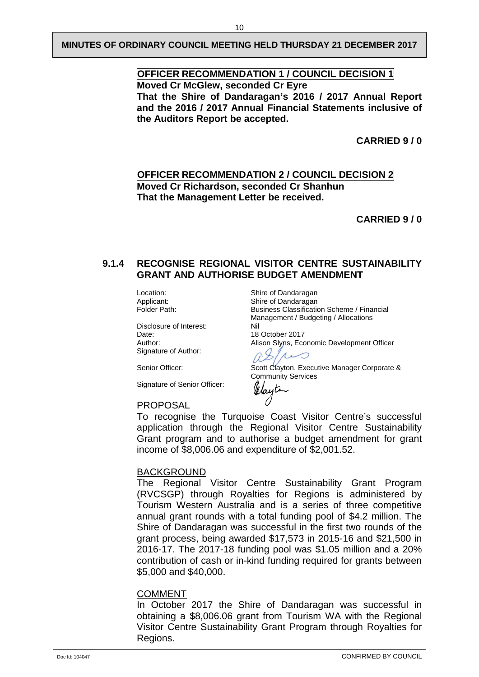## **OFFICER RECOMMENDATION 1 / COUNCIL DECISION 1 Moved Cr McGlew, seconded Cr Eyre That the Shire of Dandaragan's 2016 / 2017 Annual Report**

**and the 2016 / 2017 Annual Financial Statements inclusive of the Auditors Report be accepted.**

**CARRIED 9 / 0**

## **OFFICER RECOMMENDATION 2 / COUNCIL DECISION 2 Moved Cr Richardson, seconded Cr Shanhun That the Management Letter be received.**

**CARRIED 9 / 0**

## <span id="page-12-0"></span>**9.1.4 RECOGNISE REGIONAL VISITOR CENTRE SUSTAINABILITY GRANT AND AUTHORISE BUDGET AMENDMENT**

Disclosure of Interest:<br>Date: Date: 18 October 2017<br>
Alison Sivns. Ecc Signature of Author:

Signature of Senior Officer:

Location: Shire of Dandaragan<br>Applicant: Shire of Dandaragan Applicant: Shire of Dandaragan<br>Folder Path: Shire Business Classification Business Classification Scheme / Financial Management / Budgeting / Allocations

Alison Slyns, Economic Development Officer

Senior Officer: Scott Clayton, Executive Manager Corporate & Community Services

# Olayte

#### PROPOSAL

To recognise the Turquoise Coast Visitor Centre's successful application through the Regional Visitor Centre Sustainability Grant program and to authorise a budget amendment for grant income of \$8,006.06 and expenditure of \$2,001.52.

 $\Lambda$ 

⌒

#### BACKGROUND

The Regional Visitor Centre Sustainability Grant Program (RVCSGP) through Royalties for Regions is administered by Tourism Western Australia and is a series of three competitive annual grant rounds with a total funding pool of \$4.2 million. The Shire of Dandaragan was successful in the first two rounds of the grant process, being awarded \$17,573 in 2015-16 and \$21,500 in 2016-17. The 2017-18 funding pool was \$1.05 million and a 20% contribution of cash or in-kind funding required for grants between \$5,000 and \$40,000.

#### COMMENT

In October 2017 the Shire of Dandaragan was successful in obtaining a \$8,006.06 grant from Tourism WA with the Regional Visitor Centre Sustainability Grant Program through Royalties for Regions.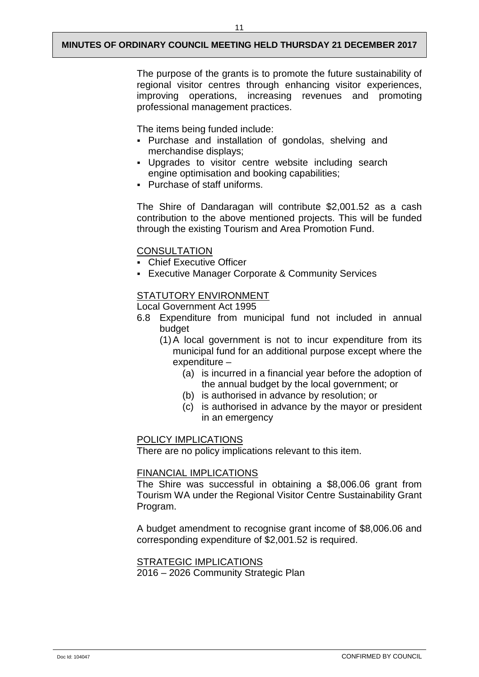11

The purpose of the grants is to promote the future sustainability of regional visitor centres through enhancing visitor experiences, improving operations, increasing revenues and promoting professional management practices.

The items being funded include:

- Purchase and installation of gondolas, shelving and merchandise displays;
- Upgrades to visitor centre website including search engine optimisation and booking capabilities;
- Purchase of staff uniforms.

The Shire of Dandaragan will contribute \$2,001.52 as a cash contribution to the above mentioned projects. This will be funded through the existing Tourism and Area Promotion Fund.

## **CONSULTATION**

- Chief Executive Officer
- Executive Manager Corporate & Community Services

## STATUTORY ENVIRONMENT

Local Government Act 1995

- 6.8 Expenditure from municipal fund not included in annual budget
	- (1)A local government is not to incur expenditure from its municipal fund for an additional purpose except where the expenditure –
		- (a) is incurred in a financial year before the adoption of the annual budget by the local government; or
		- (b) is authorised in advance by resolution; or
		- (c) is authorised in advance by the mayor or president in an emergency

## POLICY IMPLICATIONS

There are no policy implications relevant to this item.

#### FINANCIAL IMPLICATIONS

The Shire was successful in obtaining a \$8,006.06 grant from Tourism WA under the Regional Visitor Centre Sustainability Grant Program.

A budget amendment to recognise grant income of \$8,006.06 and corresponding expenditure of \$2,001.52 is required.

## STRATEGIC IMPLICATIONS

2016 – 2026 Community Strategic Plan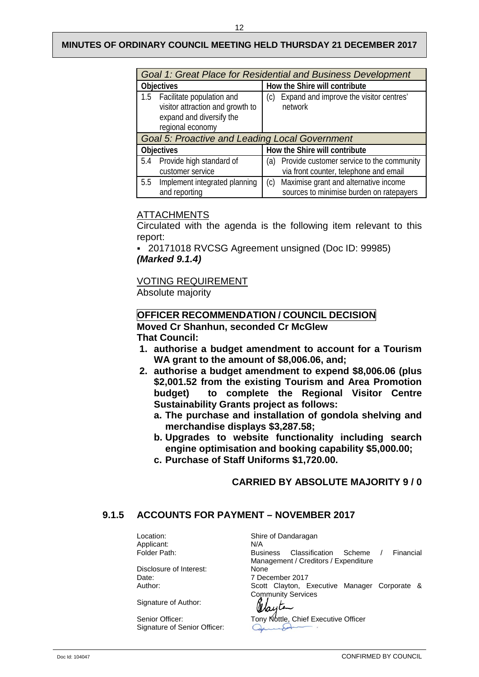|                                                                                                                   | Goal 1: Great Place for Residential and Business Development |                                                                                          |  |  |  |
|-------------------------------------------------------------------------------------------------------------------|--------------------------------------------------------------|------------------------------------------------------------------------------------------|--|--|--|
|                                                                                                                   | <b>Objectives</b>                                            | How the Shire will contribute                                                            |  |  |  |
| 1.5 Facilitate population and<br>visitor attraction and growth to<br>expand and diversify the<br>regional economy |                                                              | Expand and improve the visitor centres'<br>(C)<br>network                                |  |  |  |
|                                                                                                                   | Goal 5: Proactive and Leading Local Government               |                                                                                          |  |  |  |
| <b>Objectives</b>                                                                                                 |                                                              | How the Shire will contribute                                                            |  |  |  |
| 5.4                                                                                                               | Provide high standard of<br>customer service                 | (a) Provide customer service to the community<br>via front counter, telephone and email  |  |  |  |
| 5.5                                                                                                               | Implement integrated planning<br>and reporting               | Maximise grant and alternative income<br>(c)<br>sources to minimise burden on ratepayers |  |  |  |

## **ATTACHMENTS**

Circulated with the agenda is the following item relevant to this report:

 20171018 RVCSG Agreement unsigned (Doc ID: 99985) *(Marked 9.1.4)*

## VOTING REQUIREMENT

Absolute majority

## **OFFICER RECOMMENDATION / COUNCIL DECISION**

**Moved Cr Shanhun, seconded Cr McGlew That Council:**

- **1. authorise a budget amendment to account for a Tourism WA grant to the amount of \$8,006.06, and;**
- **2. authorise a budget amendment to expend \$8,006.06 (plus \$2,001.52 from the existing Tourism and Area Promotion budget) to complete the Regional Visitor Centre Sustainability Grants project as follows:**
	- **a. The purchase and installation of gondola shelving and merchandise displays \$3,287.58;**
	- **b. Upgrades to website functionality including search engine optimisation and booking capability \$5,000.00;**
	- **c. Purchase of Staff Uniforms \$1,720.00.**

## **CARRIED BY ABSOLUTE MAJORITY 9 / 0**

## <span id="page-14-0"></span>**9.1.5 ACCOUNTS FOR PAYMENT – NOVEMBER 2017**

Applicant:<br>Folder Path:

Disclosure of Interest:<br>Date: Date: 7 December 2017<br>
Author: 7 Nuthor: 8 Scott Clayton, E

Signature of Author:

Signature of Senior Officer:

Location: Shire of Dandaragan<br>Applicant: N/A Business Classification Scheme / Financial Management / Creditors / Expenditure<br>None Scott Clayton, Executive Manager Corporate & Community Services Clayte

Senior Officer: Tony Nottle, Chief Executive Officer<br>Signature of Senior Officer: General Company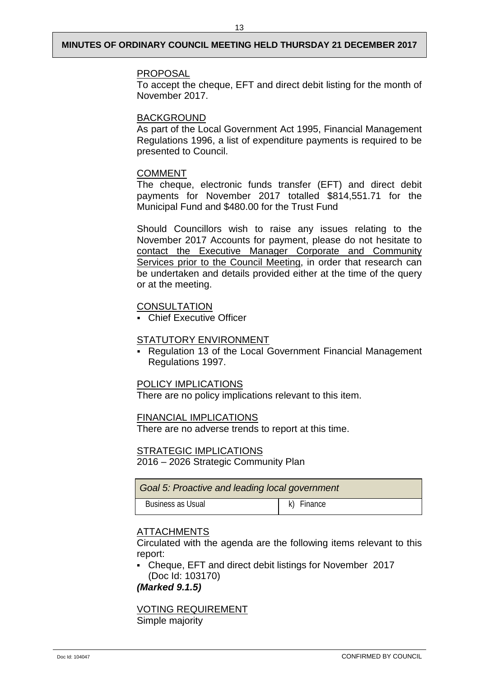#### PROPOSAL

To accept the cheque, EFT and direct debit listing for the month of November 2017.

## BACKGROUND

As part of the Local Government Act 1995, Financial Management Regulations 1996, a list of expenditure payments is required to be presented to Council.

## COMMENT

The cheque, electronic funds transfer (EFT) and direct debit payments for November 2017 totalled \$814,551.71 for the Municipal Fund and \$480.00 for the Trust Fund

Should Councillors wish to raise any issues relating to the November 2017 Accounts for payment, please do not hesitate to contact the Executive Manager Corporate and Community Services prior to the Council Meeting, in order that research can be undertaken and details provided either at the time of the query or at the meeting.

## **CONSULTATION**

Chief Executive Officer

#### STATUTORY ENVIRONMENT

 Regulation 13 of the Local Government Financial Management Regulations 1997.

## POLICY IMPLICATIONS

There are no policy implications relevant to this item.

#### FINANCIAL IMPLICATIONS

There are no adverse trends to report at this time.

#### STRATEGIC IMPLICATIONS

2016 – 2026 Strategic Community Plan

| Goal 5: Proactive and leading local government |            |  |  |
|------------------------------------------------|------------|--|--|
| Business as Usual                              | k) Finance |  |  |

## ATTACHMENTS

Circulated with the agenda are the following items relevant to this report:

 Cheque, EFT and direct debit listings for November 2017 (Doc Id: 103170)

*(Marked 9.1.5)*

VOTING REQUIREMENT Simple majority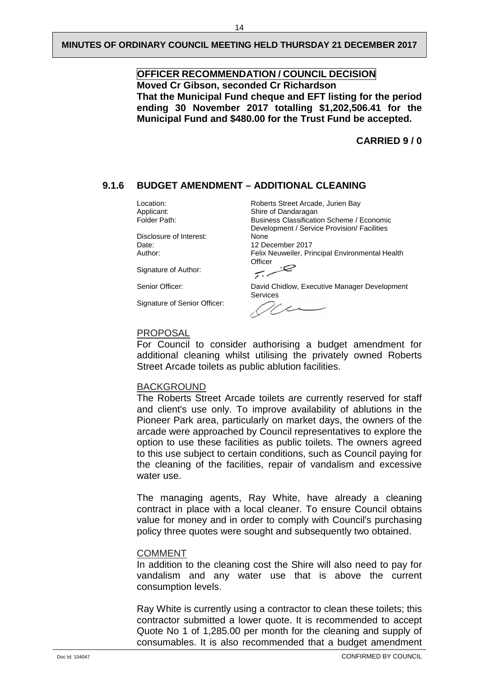## **OFFICER RECOMMENDATION / COUNCIL DECISION Moved Cr Gibson, seconded Cr Richardson That the Municipal Fund cheque and EFT listing for the period ending 30 November 2017 totalling \$1,202,506.41 for the Municipal Fund and \$480.00 for the Trust Fund be accepted.**

**CARRIED 9 / 0**

## <span id="page-16-0"></span>**9.1.6 BUDGET AMENDMENT – ADDITIONAL CLEANING**

Disclosure of Interest: Date: 12 December 2017<br>
Author: 12 December 2017<br>
Felix Neuweiler, Pri

Signature of Author:

Signature of Senior Officer:

Location: Roberts Street Arcade, Jurien Bay<br>
Applicant: Shire of Dandaragan Applicant: Shire of Dandaragan<br>
Folder Path: Shire Business Classification Business Classification Scheme / Economic Development / Service Provision/ Facilities<br>None Felix Neuweiler, Principal Environmental Health **Officer** 

ر . ربب

Senior Officer: David Chidlow, Executive Manager Development Services

#### PROPOSAL

For Council to consider authorising a budget amendment for additional cleaning whilst utilising the privately owned Roberts Street Arcade toilets as public ablution facilities.

#### BACKGROUND

The Roberts Street Arcade toilets are currently reserved for staff and client's use only. To improve availability of ablutions in the Pioneer Park area, particularly on market days, the owners of the arcade were approached by Council representatives to explore the option to use these facilities as public toilets. The owners agreed to this use subject to certain conditions, such as Council paying for the cleaning of the facilities, repair of vandalism and excessive water use.

The managing agents, Ray White, have already a cleaning contract in place with a local cleaner. To ensure Council obtains value for money and in order to comply with Council's purchasing policy three quotes were sought and subsequently two obtained.

#### COMMENT

In addition to the cleaning cost the Shire will also need to pay for vandalism and any water use that is above the current consumption levels.

Ray White is currently using a contractor to clean these toilets; this contractor submitted a lower quote. It is recommended to accept Quote No 1 of 1,285.00 per month for the cleaning and supply of consumables. It is also recommended that a budget amendment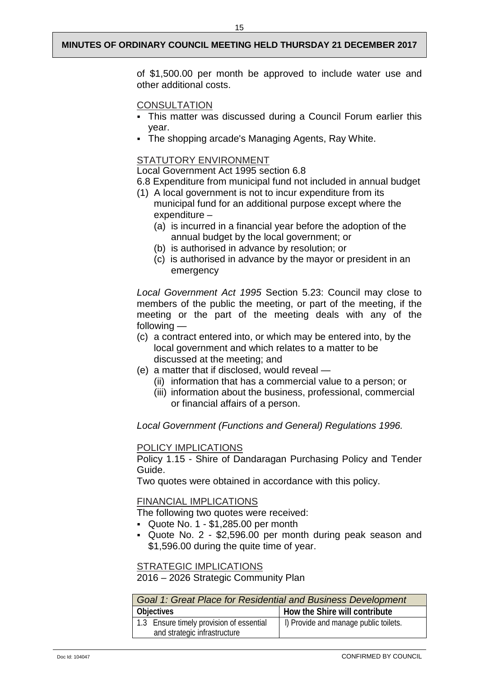of \$1,500.00 per month be approved to include water use and other additional costs.

#### **CONSULTATION**

- This matter was discussed during a Council Forum earlier this year.
- The shopping arcade's Managing Agents, Ray White.

#### STATUTORY ENVIRONMENT

Local Government Act 1995 section 6.8

- 6.8 Expenditure from municipal fund not included in annual budget
- (1) A local government is not to incur expenditure from its municipal fund for an additional purpose except where the expenditure –
	- (a) is incurred in a financial year before the adoption of the annual budget by the local government; or
	- (b) is authorised in advance by resolution; or
	- (c) is authorised in advance by the mayor or president in an emergency

*Local Government Act 1995* Section 5.23: Council may close to members of the public the meeting, or part of the meeting, if the meeting or the part of the meeting deals with any of the following —

- (c) a contract entered into, or which may be entered into, by the local government and which relates to a matter to be discussed at the meeting; and
- (e) a matter that if disclosed, would reveal
	- (ii) information that has a commercial value to a person; or
	- (iii) information about the business, professional, commercial or financial affairs of a person.

*Local Government (Functions and General) Regulations 1996.*

#### POLICY IMPLICATIONS

Policy 1.15 - Shire of Dandaragan Purchasing Policy and Tender Guide.

Two quotes were obtained in accordance with this policy.

#### FINANCIAL IMPLICATIONS

The following two quotes were received:

- $\sim$  Quote No. 1 \$1,285.00 per month
- Quote No. 2 \$2,596.00 per month during peak season and \$1,596.00 during the quite time of year.

#### STRATEGIC IMPLICATIONS

2016 – 2026 Strategic Community Plan

| Goal 1: Great Place for Residential and Business Development |                                       |  |  |  |
|--------------------------------------------------------------|---------------------------------------|--|--|--|
| Objectives                                                   | How the Shire will contribute         |  |  |  |
| 1.3 Ensure timely provision of essential                     | I) Provide and manage public toilets. |  |  |  |
| and strategic infrastructure                                 |                                       |  |  |  |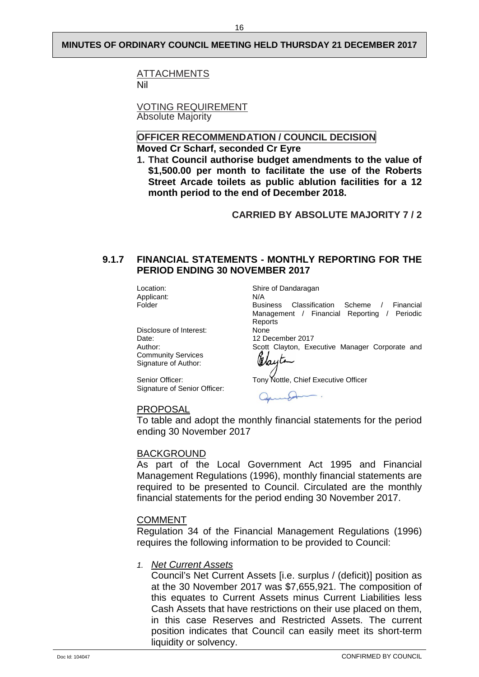16

**ATTACHMENTS** Nil

VOTING REQUIREMENT Absolute Majority

#### **OFFICER RECOMMENDATION / COUNCIL DECISION Moved Cr Scharf, seconded Cr Eyre**

**1. That Council authorise budget amendments to the value of \$1,500.00 per month to facilitate the use of the Roberts Street Arcade toilets as public ablution facilities for a 12 month period to the end of December 2018.**

**CARRIED BY ABSOLUTE MAJORITY 7 / 2**

## <span id="page-18-0"></span>**9.1.7 FINANCIAL STATEMENTS - MONTHLY REPORTING FOR THE PERIOD ENDING 30 NOVEMBER 2017**

Location: Shire of Dandaragan Applicant: N/A<br>Folder Bus

Disclosure of Interest:<br>Date: Date: 12 December 2017<br>
Author: 12 December 2017<br>
Scott Clayton, Exe Community Services Signature of Author:

Signature of Senior Officer:

Business Classification Scheme / Financial Management / Financial Reporting / Periodic Reports<br>None Scott Clayton, Executive Manager Corporate and Jayte

Senior Officer: Tony Nottle, Chief Executive Officer

## PROPOSAL

To table and adopt the monthly financial statements for the period ending 30 November 2017

## BACKGROUND

As part of the Local Government Act 1995 and Financial Management Regulations (1996), monthly financial statements are required to be presented to Council. Circulated are the monthly financial statements for the period ending 30 November 2017.

#### COMMENT

Regulation 34 of the Financial Management Regulations (1996) requires the following information to be provided to Council:

## *1. Net Current Assets*

Council's Net Current Assets [i.e. surplus / (deficit)] position as at the 30 November 2017 was \$7,655,921. The composition of this equates to Current Assets minus Current Liabilities less Cash Assets that have restrictions on their use placed on them, in this case Reserves and Restricted Assets. The current position indicates that Council can easily meet its short-term liquidity or solvency.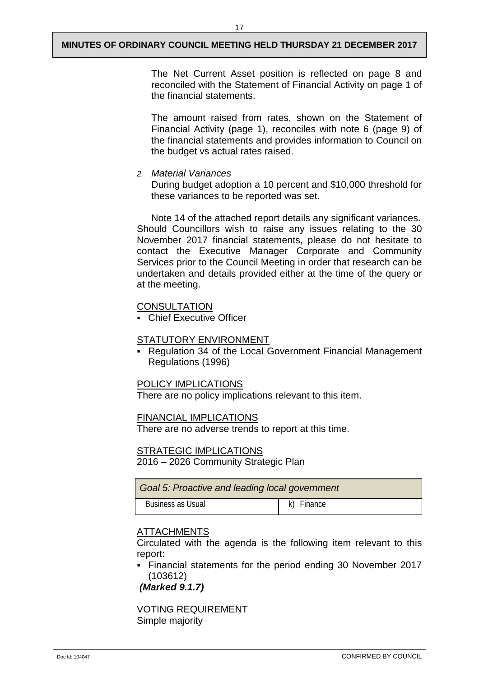17

The Net Current Asset position is reflected on page 8 and reconciled with the Statement of Financial Activity on page 1 of the financial statements.

The amount raised from rates, shown on the Statement of Financial Activity (page 1), reconciles with note 6 (page 9) of the financial statements and provides information to Council on the budget vs actual rates raised.

*2. Material Variances*

During budget adoption a 10 percent and \$10,000 threshold for these variances to be reported was set.

Note 14 of the attached report details any significant variances. Should Councillors wish to raise any issues relating to the 30 November 2017 financial statements, please do not hesitate to contact the Executive Manager Corporate and Community Services prior to the Council Meeting in order that research can be undertaken and details provided either at the time of the query or at the meeting.

## **CONSULTATION**

Chief Executive Officer

## STATUTORY ENVIRONMENT

 Regulation 34 of the Local Government Financial Management Regulations (1996)

## POLICY IMPLICATIONS

There are no policy implications relevant to this item.

## FINANCIAL IMPLICATIONS

There are no adverse trends to report at this time.

## STRATEGIC IMPLICATIONS

2016 – 2026 Community Strategic Plan

| Goal 5: Proactive and leading local government |            |  |  |
|------------------------------------------------|------------|--|--|
| Business as Usual                              | k) Finance |  |  |

## ATTACHMENTS

Circulated with the agenda is the following item relevant to this report:

 Financial statements for the period ending 30 November 2017 (103612)

*(Marked 9.1.7)*

VOTING REQUIREMENT Simple majority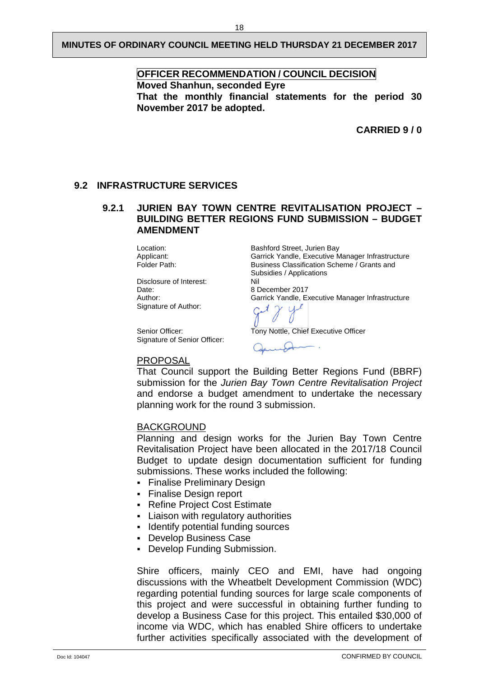## **OFFICER RECOMMENDATION / COUNCIL DECISION**

**Moved Shanhun, seconded Eyre**

**That the monthly financial statements for the period 30 November 2017 be adopted.**

**CARRIED 9 / 0**

#### <span id="page-20-1"></span><span id="page-20-0"></span>**9.2 INFRASTRUCTURE SERVICES**

## **9.2.1 JURIEN BAY TOWN CENTRE REVITALISATION PROJECT – BUILDING BETTER REGIONS FUND SUBMISSION – BUDGET AMENDMENT**

Disclosure of Interest: Nil<br>Date: A R Date: 08 December 2017<br>Author: 08 Author: 08 Garrick Yandle, E Signature of Author:

Location: Bashford Street, Jurien Bay Applicant: Garrick Yandle, Executive Manager Infrastructure<br>
Folder Path: Garrick Yandels Scheme / Grants and Business Classification Scheme / Grants and Subsidies / Applications

Garrick Yandle, Executive Manager Infrastructure

Senior Officer: Tony Nottle, Chief Executive Officer Signature of Senior Officer:

#### PROPOSAL

That Council support the Building Better Regions Fund (BBRF) submission for the *Jurien Bay Town Centre Revitalisation Project*  and endorse a budget amendment to undertake the necessary planning work for the round 3 submission.

#### BACKGROUND

Planning and design works for the Jurien Bay Town Centre Revitalisation Project have been allocated in the 2017/18 Council Budget to update design documentation sufficient for funding submissions. These works included the following:

- Finalise Preliminary Design
- **Finalise Design report**
- Refine Project Cost Estimate
- Liaison with regulatory authorities
- **IDENTIFY** potential funding sources
- Develop Business Case
- Develop Funding Submission.

Shire officers, mainly CEO and EMI, have had ongoing discussions with the Wheatbelt Development Commission (WDC) regarding potential funding sources for large scale components of this project and were successful in obtaining further funding to develop a Business Case for this project. This entailed \$30,000 of income via WDC, which has enabled Shire officers to undertake further activities specifically associated with the development of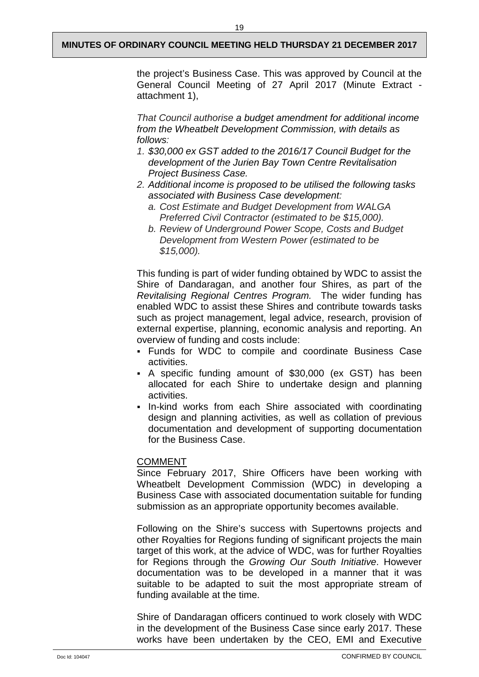the project's Business Case. This was approved by Council at the General Council Meeting of 27 April 2017 (Minute Extract attachment 1),

*That Council authorise a budget amendment for additional income from the Wheatbelt Development Commission, with details as follows:*

- *1. \$30,000 ex GST added to the 2016/17 Council Budget for the development of the Jurien Bay Town Centre Revitalisation Project Business Case.*
- *2. Additional income is proposed to be utilised the following tasks associated with Business Case development:*
	- *a. Cost Estimate and Budget Development from WALGA Preferred Civil Contractor (estimated to be \$15,000).*
	- *b. Review of Underground Power Scope, Costs and Budget Development from Western Power (estimated to be \$15,000).*

This funding is part of wider funding obtained by WDC to assist the Shire of Dandaragan, and another four Shires, as part of the *Revitalising Regional Centres Program.* The wider funding has enabled WDC to assist these Shires and contribute towards tasks such as project management, legal advice, research, provision of external expertise, planning, economic analysis and reporting. An overview of funding and costs include:

- Funds for WDC to compile and coordinate Business Case activities.
- A specific funding amount of \$30,000 (ex GST) has been allocated for each Shire to undertake design and planning activities.
- In-kind works from each Shire associated with coordinating design and planning activities, as well as collation of previous documentation and development of supporting documentation for the Business Case.

## COMMENT

Since February 2017, Shire Officers have been working with Wheatbelt Development Commission (WDC) in developing a Business Case with associated documentation suitable for funding submission as an appropriate opportunity becomes available.

Following on the Shire's success with Supertowns projects and other Royalties for Regions funding of significant projects the main target of this work, at the advice of WDC, was for further Royalties for Regions through the *Growing Our South Initiative*. However documentation was to be developed in a manner that it was suitable to be adapted to suit the most appropriate stream of funding available at the time.

Shire of Dandaragan officers continued to work closely with WDC in the development of the Business Case since early 2017. These works have been undertaken by the CEO, EMI and Executive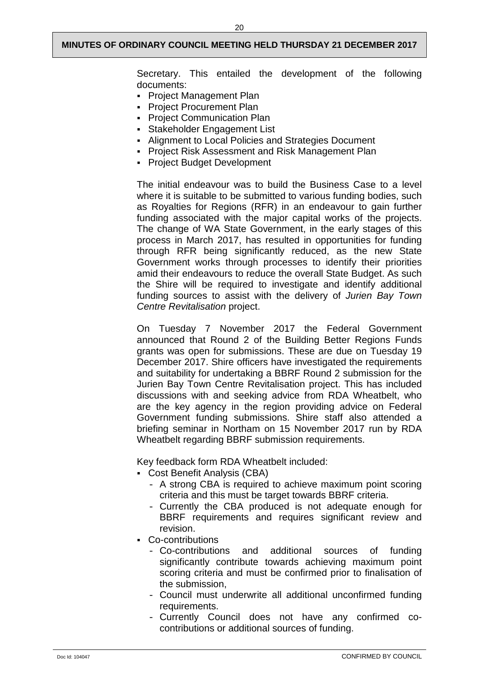Secretary. This entailed the development of the following documents:

- **Project Management Plan**
- **Project Procurement Plan**
- **Project Communication Plan**
- Stakeholder Engagement List
- Alignment to Local Policies and Strategies Document
- **Project Risk Assessment and Risk Management Plan**
- **Project Budget Development**

The initial endeavour was to build the Business Case to a level where it is suitable to be submitted to various funding bodies, such as Royalties for Regions (RFR) in an endeavour to gain further funding associated with the major capital works of the projects. The change of WA State Government, in the early stages of this process in March 2017, has resulted in opportunities for funding through RFR being significantly reduced, as the new State Government works through processes to identify their priorities amid their endeavours to reduce the overall State Budget. As such the Shire will be required to investigate and identify additional funding sources to assist with the delivery of *Jurien Bay Town Centre Revitalisation* project.

On Tuesday 7 November 2017 the Federal Government announced that Round 2 of the Building Better Regions Funds grants was open for submissions. These are due on Tuesday 19 December 2017. Shire officers have investigated the requirements and suitability for undertaking a BBRF Round 2 submission for the Jurien Bay Town Centre Revitalisation project. This has included discussions with and seeking advice from RDA Wheatbelt, who are the key agency in the region providing advice on Federal Government funding submissions. Shire staff also attended a briefing seminar in Northam on 15 November 2017 run by RDA Wheatbelt regarding BBRF submission requirements.

Key feedback form RDA Wheatbelt included:

- Cost Benefit Analysis (CBA)
	- A strong CBA is required to achieve maximum point scoring criteria and this must be target towards BBRF criteria.
	- Currently the CBA produced is not adequate enough for BBRF requirements and requires significant review and revision.
- Co-contributions
	- Co-contributions and additional sources of funding significantly contribute towards achieving maximum point scoring criteria and must be confirmed prior to finalisation of the submission,
	- Council must underwrite all additional unconfirmed funding requirements.
	- Currently Council does not have any confirmed cocontributions or additional sources of funding.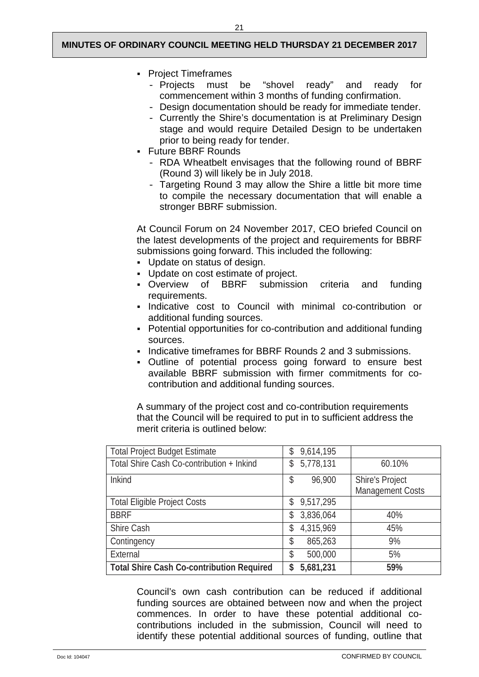- Project Timeframes
	- Projects must be "shovel ready" and ready for commencement within 3 months of funding confirmation.
	- Design documentation should be ready for immediate tender.
	- Currently the Shire's documentation is at Preliminary Design stage and would require Detailed Design to be undertaken prior to being ready for tender.
- **Future BBRF Rounds** 
	- RDA Wheatbelt envisages that the following round of BBRF (Round 3) will likely be in July 2018.
	- Targeting Round 3 may allow the Shire a little bit more time to compile the necessary documentation that will enable a stronger BBRF submission.

At Council Forum on 24 November 2017, CEO briefed Council on the latest developments of the project and requirements for BBRF submissions going forward. This included the following:

- Update on status of design.
- Update on cost estimate of project.
- Overview of BBRF submission criteria and funding requirements.
- Indicative cost to Council with minimal co-contribution or additional funding sources.
- Potential opportunities for co-contribution and additional funding sources.
- Indicative timeframes for BBRF Rounds 2 and 3 submissions.
- Outline of potential process going forward to ensure best available BBRF submission with firmer commitments for cocontribution and additional funding sources.

A summary of the project cost and co-contribution requirements that the Council will be required to put in to sufficient address the merit criteria is outlined below:

| <b>Total Project Budget Estimate</b>             | 9,614,195<br>\$ |                         |
|--------------------------------------------------|-----------------|-------------------------|
| Total Shire Cash Co-contribution + Inkind        | 5,778,131<br>\$ | 60.10%                  |
| Inkind                                           | 96,900<br>\$    | <b>Shire's Project</b>  |
|                                                  |                 | <b>Management Costs</b> |
| <b>Total Eligible Project Costs</b>              | 9,517,295<br>\$ |                         |
| <b>BBRF</b>                                      | 3,836,064<br>\$ | 40%                     |
| Shire Cash                                       | 4,315,969<br>\$ | 45%                     |
| Contingency                                      | 865,263<br>\$   | 9%                      |
| External                                         | 500,000<br>\$   | 5%                      |
| <b>Total Shire Cash Co-contribution Required</b> | 5,681,231<br>S  | 59%                     |

Council's own cash contribution can be reduced if additional funding sources are obtained between now and when the project commences. In order to have these potential additional cocontributions included in the submission, Council will need to identify these potential additional sources of funding, outline that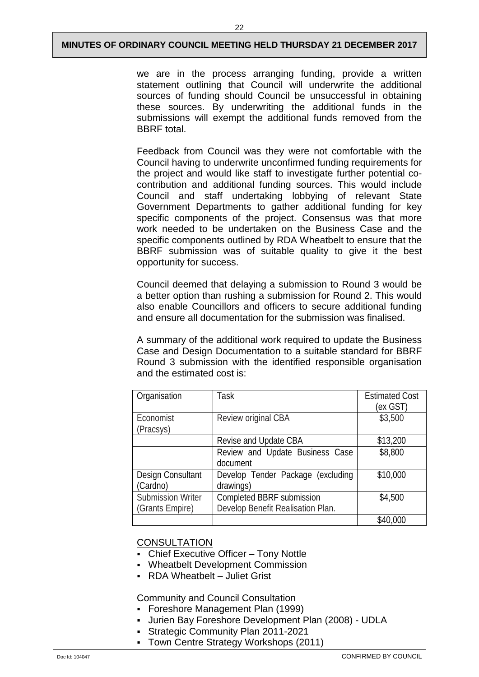we are in the process arranging funding, provide a written statement outlining that Council will underwrite the additional sources of funding should Council be unsuccessful in obtaining these sources. By underwriting the additional funds in the submissions will exempt the additional funds removed from the BBRF total.

Feedback from Council was they were not comfortable with the Council having to underwrite unconfirmed funding requirements for the project and would like staff to investigate further potential cocontribution and additional funding sources. This would include Council and staff undertaking lobbying of relevant State Government Departments to gather additional funding for key specific components of the project. Consensus was that more work needed to be undertaken on the Business Case and the specific components outlined by RDA Wheatbelt to ensure that the BBRF submission was of suitable quality to give it the best opportunity for success.

Council deemed that delaying a submission to Round 3 would be a better option than rushing a submission for Round 2. This would also enable Councillors and officers to secure additional funding and ensure all documentation for the submission was finalised.

A summary of the additional work required to update the Business Case and Design Documentation to a suitable standard for BBRF Round 3 submission with the identified responsible organisation and the estimated cost is:

| Organisation             | Task                              | <b>Estimated Cost</b><br>(ex GST) |
|--------------------------|-----------------------------------|-----------------------------------|
| Economist                | Review original CBA               | \$3,500                           |
| (Pracsys)                |                                   |                                   |
|                          | Revise and Update CBA             | \$13,200                          |
|                          | Review and Update Business Case   | \$8,800                           |
|                          | document                          |                                   |
| Design Consultant        | Develop Tender Package (excluding | \$10,000                          |
| (Cardno)                 | drawings)                         |                                   |
| <b>Submission Writer</b> | Completed BBRF submission         | \$4,500                           |
| (Grants Empire)          | Develop Benefit Realisation Plan. |                                   |
|                          |                                   | \$40,000                          |

## **CONSULTATION**

- Chief Executive Officer Tony Nottle
- Wheatbelt Development Commission
- RDA Wheatbelt Juliet Grist

Community and Council Consultation

- Foreshore Management Plan (1999)
- Jurien Bay Foreshore Development Plan (2008) UDLA
	- Strategic Community Plan 2011-2021
	- Town Centre Strategy Workshops (2011)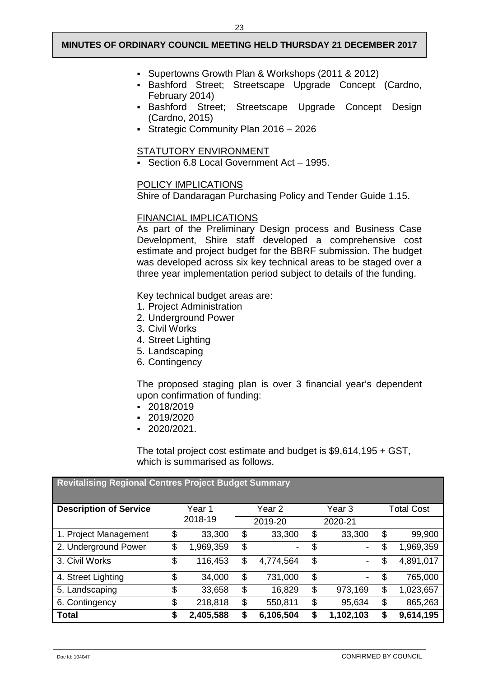- Supertowns Growth Plan & Workshops (2011 & 2012)
- Bashford Street; Streetscape Upgrade Concept (Cardno, February 2014)
- Bashford Street; Streetscape Upgrade Concept Design (Cardno, 2015)
- Strategic Community Plan 2016 2026

#### STATUTORY ENVIRONMENT

Section 6.8 Local Government Act – 1995.

#### POLICY IMPLICATIONS

Shire of Dandaragan Purchasing Policy and Tender Guide 1.15.

## FINANCIAL IMPLICATIONS

As part of the Preliminary Design process and Business Case Development, Shire staff developed a comprehensive cost estimate and project budget for the BBRF submission. The budget was developed across six key technical areas to be staged over a three year implementation period subject to details of the funding.

Key technical budget areas are:

- 1. Project Administration
- 2. Underground Power
- 3. Civil Works
- 4. Street Lighting
- 5. Landscaping
- 6. Contingency

The proposed staging plan is over 3 financial year's dependent upon confirmation of funding:

- 2018/2019
- 2019/2020
- 2020/2021.

The total project cost estimate and budget is \$9,614,195 + GST, which is summarised as follows.

| <b>Revitalising Regional Centres Project Budget Summary</b> |    |           |                                |                 |    |                   |
|-------------------------------------------------------------|----|-----------|--------------------------------|-----------------|----|-------------------|
| <b>Description of Service</b>                               |    | Year 1    | Year 2                         | Year 3          |    | <b>Total Cost</b> |
|                                                             |    | 2018-19   | 2019-20                        | 2020-21         |    |                   |
| 1. Project Management                                       | \$ | 33,300    | \$<br>33,300                   | \$<br>33,300    | \$ | 99,900            |
| 2. Underground Power                                        | \$ | 1,969,359 | \$<br>$\overline{\phantom{a}}$ | \$              | \$ | 1,969,359         |
| 3. Civil Works                                              | \$ | 116,453   | \$<br>4,774,564                | \$              | \$ | 4,891,017         |
| 4. Street Lighting                                          | \$ | 34,000    | \$<br>731,000                  | \$<br>-         | \$ | 765,000           |
| 5. Landscaping                                              | \$ | 33,658    | \$<br>16,829                   | \$<br>973,169   | \$ | 1,023,657         |
| 6. Contingency                                              | \$ | 218,818   | \$<br>550,811                  | \$<br>95,634    | \$ | 865,263           |
| Total                                                       | S  | 2,405,588 | \$<br>6,106,504                | \$<br>1,102,103 | S  | 9,614,195         |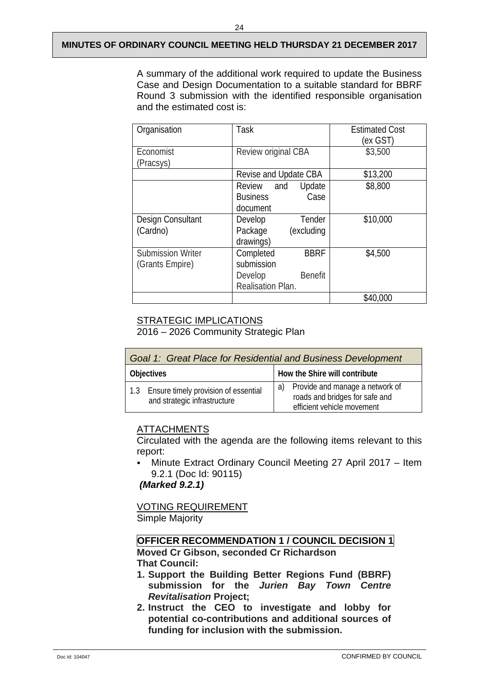24

A summary of the additional work required to update the Business Case and Design Documentation to a suitable standard for BBRF Round 3 submission with the identified responsible organisation and the estimated cost is:

| Organisation             | Task                      | <b>Estimated Cost</b> |
|--------------------------|---------------------------|-----------------------|
|                          |                           | (ex GST)              |
| Economist                | Review original CBA       | \$3,500               |
| (Pracsys)                |                           |                       |
|                          | Revise and Update CBA     | \$13,200              |
|                          | Update<br>Review and      | \$8,800               |
|                          | <b>Business</b><br>Case   |                       |
|                          | document                  |                       |
| Design Consultant        | Tender<br>Develop         | \$10,000              |
| (Cardno)                 | (excluding<br>Package     |                       |
|                          | drawings)                 |                       |
| <b>Submission Writer</b> | <b>BBRF</b><br>Completed  | \$4,500               |
| (Grants Empire)          | submission                |                       |
|                          | <b>Benefit</b><br>Develop |                       |
|                          | Realisation Plan.         |                       |
|                          |                           | \$40,000              |

## STRATEGIC IMPLICATIONS

2016 – 2026 Community Strategic Plan

| Goal 1: Great Place for Residential and Business Development |                                                                          |  |                                                                                                    |
|--------------------------------------------------------------|--------------------------------------------------------------------------|--|----------------------------------------------------------------------------------------------------|
|                                                              | <b>Objectives</b>                                                        |  | How the Shire will contribute                                                                      |
|                                                              | 1.3 Ensure timely provision of essential<br>and strategic infrastructure |  | a) Provide and manage a network of<br>roads and bridges for safe and<br>efficient vehicle movement |

## ATTACHMENTS

Circulated with the agenda are the following items relevant to this report:

 Minute Extract Ordinary Council Meeting 27 April 2017 – Item 9.2.1 (Doc Id: 90115)

*(Marked 9.2.1)*

VOTING REQUIREMENT Simple Majority

## **OFFICER RECOMMENDATION 1 / COUNCIL DECISION 1**

**Moved Cr Gibson, seconded Cr Richardson That Council:**

- **1. Support the Building Better Regions Fund (BBRF) submission for the** *Jurien Bay Town Centre Revitalisation* **Project;**
- **2. Instruct the CEO to investigate and lobby for potential co-contributions and additional sources of funding for inclusion with the submission.**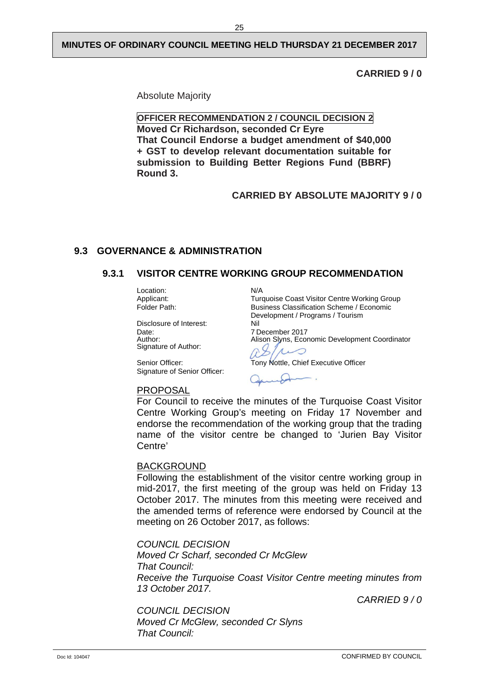**CARRIED 9 / 0**

Absolute Majority

**OFFICER RECOMMENDATION 2 / COUNCIL DECISION 2 Moved Cr Richardson, seconded Cr Eyre That Council Endorse a budget amendment of \$40,000 + GST to develop relevant documentation suitable for submission to Building Better Regions Fund (BBRF) Round 3.**

## **CARRIED BY ABSOLUTE MAJORITY 9 / 0**

## <span id="page-27-1"></span><span id="page-27-0"></span>**9.3 GOVERNANCE & ADMINISTRATION**

## **9.3.1 VISITOR CENTRE WORKING GROUP RECOMMENDATION**

Location: N/A<br>Applicant: Ture

Disclosure of Interest:<br>Date: Date: 7 December 2017<br>
Author: 7 Nison Slyns. Ecor Signature of Author:

Senior Officer: Tony Nottle, Chief Executive Officer Signature of Senior Officer:

Applicant: Turquoise Coast Visitor Centre Working Group<br>
Folder Path: Business Classification Scheme / Economic Business Classification Scheme / Economic Development / Programs / Tourism

Alison Slyns, Economic Development Coordinator

◯

PROPOSAL

For Council to receive the minutes of the Turquoise Coast Visitor Centre Working Group's meeting on Friday 17 November and endorse the recommendation of the working group that the trading name of the visitor centre be changed to 'Jurien Bay Visitor Centre'

#### BACKGROUND

Following the establishment of the visitor centre working group in mid-2017, the first meeting of the group was held on Friday 13 October 2017. The minutes from this meeting were received and the amended terms of reference were endorsed by Council at the meeting on 26 October 2017, as follows:

*COUNCIL DECISION Moved Cr Scharf, seconded Cr McGlew That Council: Receive the Turquoise Coast Visitor Centre meeting minutes from 13 October 2017.* 

*CARRIED 9 / 0* 

*COUNCIL DECISION Moved Cr McGlew, seconded Cr Slyns That Council:*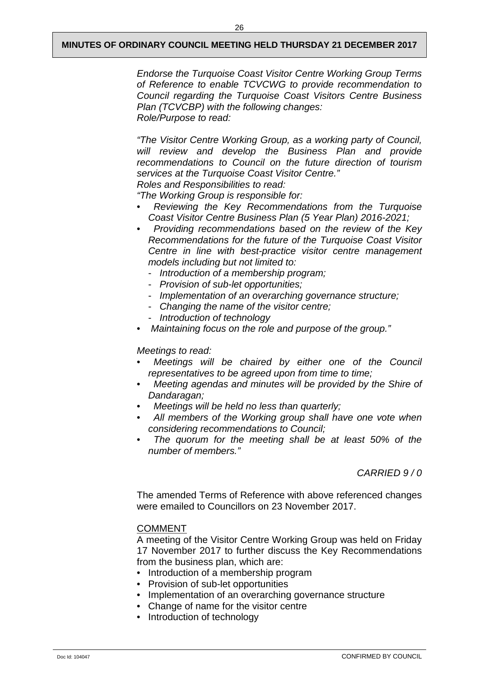*Endorse the Turquoise Coast Visitor Centre Working Group Terms of Reference to enable TCVCWG to provide recommendation to Council regarding the Turquoise Coast Visitors Centre Business Plan (TCVCBP) with the following changes: Role/Purpose to read:* 

*"The Visitor Centre Working Group, as a working party of Council, will review and develop the Business Plan and provide recommendations to Council on the future direction of tourism services at the Turquoise Coast Visitor Centre." Roles and Responsibilities to read:* 

*"The Working Group is responsible for:* 

- • *Reviewing the Key Recommendations from the Turquoise Coast Visitor Centre Business Plan (5 Year Plan) 2016-2021;*
- • *Providing recommendations based on the review of the Key Recommendations for the future of the Turquoise Coast Visitor Centre in line with best-practice visitor centre management models including but not limited to:* 
	- *Introduction of a membership program;*
	- *Provision of sub-let opportunities;*
	- *Implementation of an overarching governance structure;*
	- *Changing the name of the visitor centre;*
	- *Introduction of technology*
- *Maintaining focus on the role and purpose of the group."*

#### *Meetings to read:*

- • *Meetings will be chaired by either one of the Council representatives to be agreed upon from time to time;*
- • *Meeting agendas and minutes will be provided by the Shire of Dandaragan;*
- • *Meetings will be held no less than quarterly;*
- • *All members of the Working group shall have one vote when considering recommendations to Council;*
- • *The quorum for the meeting shall be at least 50% of the number of members."*

## *CARRIED 9 / 0*

The amended Terms of Reference with above referenced changes were emailed to Councillors on 23 November 2017.

#### COMMENT

A meeting of the Visitor Centre Working Group was held on Friday 17 November 2017 to further discuss the Key Recommendations from the business plan, which are:

- Introduction of a membership program
- Provision of sub-let opportunities
- Implementation of an overarching governance structure
- Change of name for the visitor centre
- Introduction of technology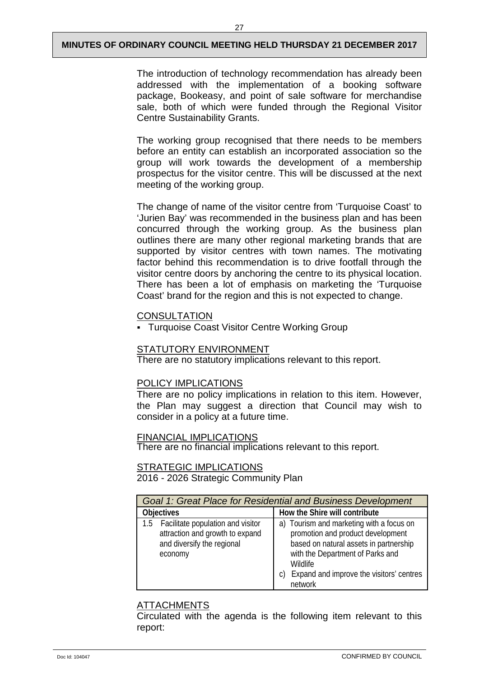The introduction of technology recommendation has already been addressed with the implementation of a booking software package, Bookeasy, and point of sale software for merchandise sale, both of which were funded through the Regional Visitor Centre Sustainability Grants.

The working group recognised that there needs to be members before an entity can establish an incorporated association so the group will work towards the development of a membership prospectus for the visitor centre. This will be discussed at the next meeting of the working group.

The change of name of the visitor centre from 'Turquoise Coast' to 'Jurien Bay' was recommended in the business plan and has been concurred through the working group. As the business plan outlines there are many other regional marketing brands that are supported by visitor centres with town names. The motivating factor behind this recommendation is to drive footfall through the visitor centre doors by anchoring the centre to its physical location. There has been a lot of emphasis on marketing the 'Turquoise Coast' brand for the region and this is not expected to change.

#### **CONSULTATION**

Turquoise Coast Visitor Centre Working Group

#### STATUTORY ENVIRONMENT

There are no statutory implications relevant to this report.

#### POLICY IMPLICATIONS

There are no policy implications in relation to this item. However, the Plan may suggest a direction that Council may wish to consider in a policy at a future time.

## FINANCIAL IMPLICATIONS

There are no financial implications relevant to this report.

## **STRATEGIC IMPLICATIONS**

2016 - 2026 Strategic Community Plan

|                                                                                                                   | Goal 1: Great Place for Residential and Business Development                                                                                                                                                                         |
|-------------------------------------------------------------------------------------------------------------------|--------------------------------------------------------------------------------------------------------------------------------------------------------------------------------------------------------------------------------------|
| <b>Objectives</b>                                                                                                 | How the Shire will contribute                                                                                                                                                                                                        |
| 1.5 Facilitate population and visitor<br>attraction and growth to expand<br>and diversify the regional<br>economy | a) Tourism and marketing with a focus on<br>promotion and product development<br>based on natural assets in partnership<br>with the Department of Parks and<br>Wildlife<br>Expand and improve the visitors' centres<br>C)<br>network |

## ATTACHMENTS

Circulated with the agenda is the following item relevant to this report: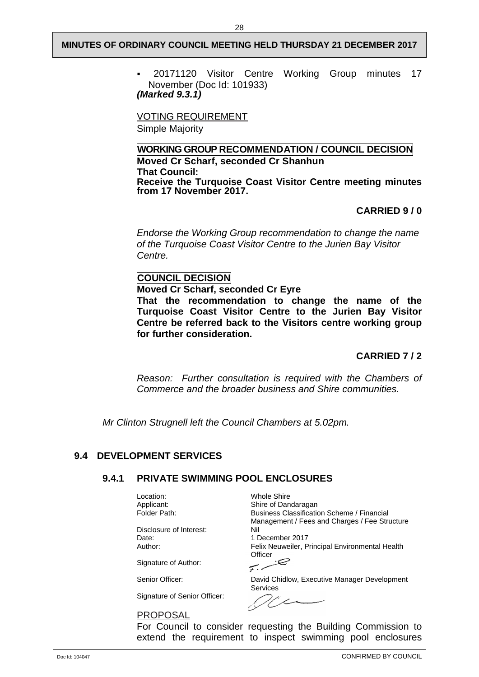20171120 Visitor Centre Working Group minutes 17 November (Doc Id: 101933) *(Marked 9.3.1)*

VOTING REQUIREMENT

Simple Majority

**WORKING GROUP RECOMMENDATION / COUNCIL DECISION Moved Cr Scharf, seconded Cr Shanhun That Council: Receive the Turquoise Coast Visitor Centre meeting minutes from 17 November 2017.**

## **CARRIED 9 / 0**

*Endorse the Working Group recommendation to change the name of the Turquoise Coast Visitor Centre to the Jurien Bay Visitor Centre.*

## **COUNCIL DECISION**

**Moved Cr Scharf, seconded Cr Eyre**

**That the recommendation to change the name of the Turquoise Coast Visitor Centre to the Jurien Bay Visitor Centre be referred back to the Visitors centre working group for further consideration.**

## **CARRIED 7 / 2**

*Reason: Further consultation is required with the Chambers of Commerce and the broader business and Shire communities.*

*Mr Clinton Strugnell left the Council Chambers at 5.02pm.*

## <span id="page-30-1"></span><span id="page-30-0"></span>**9.4 DEVELOPMENT SERVICES**

## **9.4.1 PRIVATE SWIMMING POOL ENCLOSURES**

Location: Whole Shire<br>Applicant: Shire of Dan

Disclosure of Interest: Nil Date: 1 December 2017<br>Author: 1 December 2017<br>Felix Neuweiler. P

Signature of Author:

Signature of Senior Officer:

PROPOSAL

Applicant: Shire of Dandaragan<br>
Folder Path: Shire Business Classification Business Classification Scheme / Financial Management / Fees and Charges / Fee Structure Felix Neuweiler, Principal Environmental Health

Officer ربېسپه

Senior Officer: David Chidlow, Executive Manager Development Services

 $\sqrt{2}$ 

For Council to consider requesting the Building Commission to extend the requirement to inspect swimming pool enclosures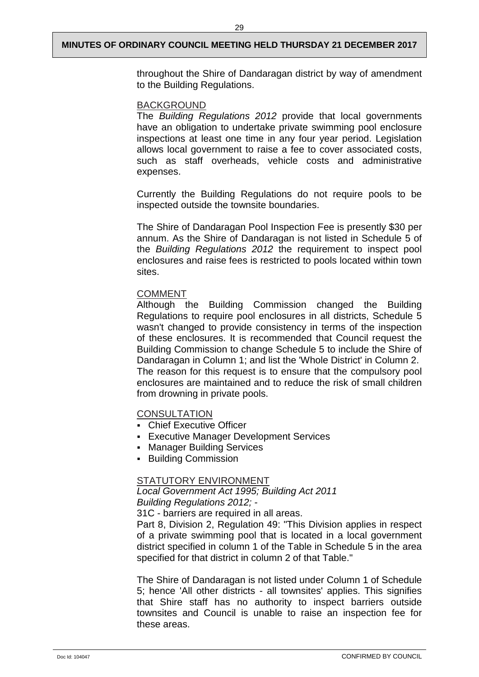throughout the Shire of Dandaragan district by way of amendment to the Building Regulations.

#### BACKGROUND

The *Building Regulations 2012* provide that local governments have an obligation to undertake private swimming pool enclosure inspections at least one time in any four year period. Legislation allows local government to raise a fee to cover associated costs, such as staff overheads, vehicle costs and administrative expenses.

Currently the Building Regulations do not require pools to be inspected outside the townsite boundaries.

The Shire of Dandaragan Pool Inspection Fee is presently \$30 per annum. As the Shire of Dandaragan is not listed in Schedule 5 of the *Building Regulations 2012* the requirement to inspect pool enclosures and raise fees is restricted to pools located within town sites.

## COMMENT

Although the Building Commission changed the Building Regulations to require pool enclosures in all districts, Schedule 5 wasn't changed to provide consistency in terms of the inspection of these enclosures. It is recommended that Council request the Building Commission to change Schedule 5 to include the Shire of Dandaragan in Column 1; and list the 'Whole District' in Column 2. The reason for this request is to ensure that the compulsory pool enclosures are maintained and to reduce the risk of small children from drowning in private pools.

## **CONSULTATION**

- Chief Executive Officer
- **Executive Manager Development Services**
- Manager Building Services
- **Building Commission**

#### STATUTORY ENVIRONMENT

*Local Government Act 1995; Building Act 2011 Building Regulations 2012; -*

31C - barriers are required in all areas.

Part 8, Division 2, Regulation 49: "This Division applies in respect of a private swimming pool that is located in a local government district specified in column 1 of the Table in Schedule 5 in the area specified for that district in column 2 of that Table."

The Shire of Dandaragan is not listed under Column 1 of Schedule 5; hence 'All other districts - all townsites' applies. This signifies that Shire staff has no authority to inspect barriers outside townsites and Council is unable to raise an inspection fee for these areas.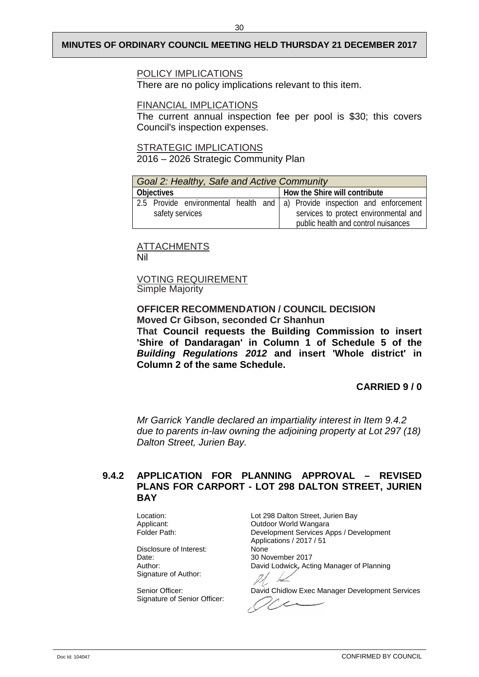#### POLICY IMPLICATIONS

There are no policy implications relevant to this item.

## FINANCIAL IMPLICATIONS

The current annual inspection fee per pool is \$30; this covers Council's inspection expenses.

STRATEGIC IMPLICATIONS

2016 – 2026 Strategic Community Plan

| Goal 2: Healthy, Safe and Active Community |                                                                            |  |  |                                     |                                       |
|--------------------------------------------|----------------------------------------------------------------------------|--|--|-------------------------------------|---------------------------------------|
| <b>Objectives</b>                          |                                                                            |  |  | How the Shire will contribute       |                                       |
| safety services                            | 2.5 Provide environmental health and a) Provide inspection and enforcement |  |  |                                     | services to protect environmental and |
|                                            |                                                                            |  |  | public health and control nuisances |                                       |

**ATTACHMENTS** Nil

VOTING REQUIREMENT Simple Majority

#### **OFFICER RECOMMENDATION / COUNCIL DECISION Moved Cr Gibson, seconded Cr Shanhun**

**That Council requests the Building Commission to insert 'Shire of Dandaragan' in Column 1 of Schedule 5 of the**  *Building Regulations 2012* **and insert 'Whole district' in Column 2 of the same Schedule.**

## **CARRIED 9 / 0**

*Mr Garrick Yandle declared an impartiality interest in Item 9.4.2 due to parents in-law owning the adjoining property at Lot 297 (18) Dalton Street, Jurien Bay.*

## <span id="page-32-0"></span>**9.4.2 APPLICATION FOR PLANNING APPROVAL – REVISED PLANS FOR CARPORT - LOT 298 DALTON STREET, JURIEN BAY**

Disclosure of Interest:<br>Date: Signature of Author:

Signature of Senior Officer:

Location: Location: Location: Location: Location: Location: Location: Location: Location: Location: Location: L<br>Cutdoor World Wangara Applicant: Capplicant: Outdoor World Wangara<br>
Folder Path: Capplicant Services Applicant Services Applicant Services Applicant Services Applicant Services Development Services Apps / Development Applications / 2017 / 51 30 November 2017 Author: **David Lodwick, Acting Manager of Planning** 

Senior Officer: <br>
David Chidlow Exec Manager Development Services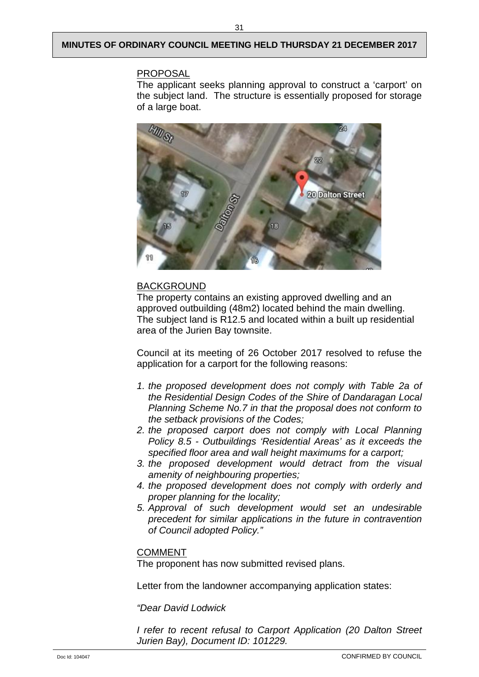## PROPOSAL

The applicant seeks planning approval to construct a 'carport' on the subject land. The structure is essentially proposed for storage of a large boat.



## BACKGROUND

The property contains an existing approved dwelling and an approved outbuilding (48m2) located behind the main dwelling. The subject land is R12.5 and located within a built up residential area of the Jurien Bay townsite.

Council at its meeting of 26 October 2017 resolved to refuse the application for a carport for the following reasons:

- *1. the proposed development does not comply with Table 2a of the Residential Design Codes of the Shire of Dandaragan Local Planning Scheme No.7 in that the proposal does not conform to the setback provisions of the Codes;*
- *2. the proposed carport does not comply with Local Planning Policy 8.5 - Outbuildings 'Residential Areas' as it exceeds the specified floor area and wall height maximums for a carport;*
- *3. the proposed development would detract from the visual amenity of neighbouring properties;*
- *4. the proposed development does not comply with orderly and proper planning for the locality;*
- *5. Approval of such development would set an undesirable precedent for similar applications in the future in contravention of Council adopted Policy."*

## COMMENT

The proponent has now submitted revised plans.

Letter from the landowner accompanying application states:

*"Dear David Lodwick*

*I refer to recent refusal to Carport Application (20 Dalton Street Jurien Bay), Document ID: 101229.*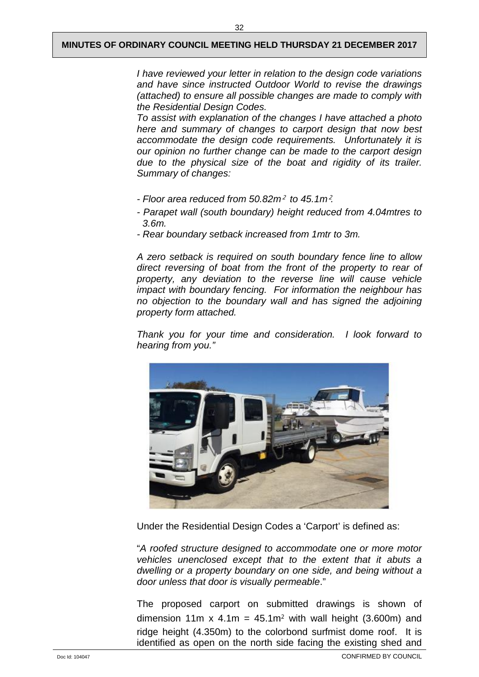*I have reviewed your letter in relation to the design code variations and have since instructed Outdoor World to revise the drawings (attached) to ensure all possible changes are made to comply with the Residential Design Codes.*

*To assist with explanation of the changes I have attached a photo here and summary of changes to carport design that now best accommodate the design code requirements. Unfortunately it is our opinion no further change can be made to the carport design due to the physical size of the boat and rigidity of its trailer. Summary of changes:*

- *- Floor area reduced from 50.82m*² *to 45.1m*²*.*
- *- Parapet wall (south boundary) height reduced from 4.04mtres to 3.6m.*
- *- Rear boundary setback increased from 1mtr to 3m.*

*A zero setback is required on south boundary fence line to allow direct reversing of boat from the front of the property to rear of property, any deviation to the reverse line will cause vehicle impact with boundary fencing. For information the neighbour has no objection to the boundary wall and has signed the adjoining property form attached.*

*Thank you for your time and consideration. I look forward to hearing from you."* 



Under the Residential Design Codes a 'Carport' is defined as:

"*A roofed structure designed to accommodate one or more motor vehicles unenclosed except that to the extent that it abuts a dwelling or a property boundary on one side, and being without a door unless that door is visually permeable*."

The proposed carport on submitted drawings is shown of dimension 11m x 4.1m =  $45.1m^2$  with wall height (3.600m) and ridge height (4.350m) to the colorbond surfmist dome roof. It is identified as open on the north side facing the existing shed and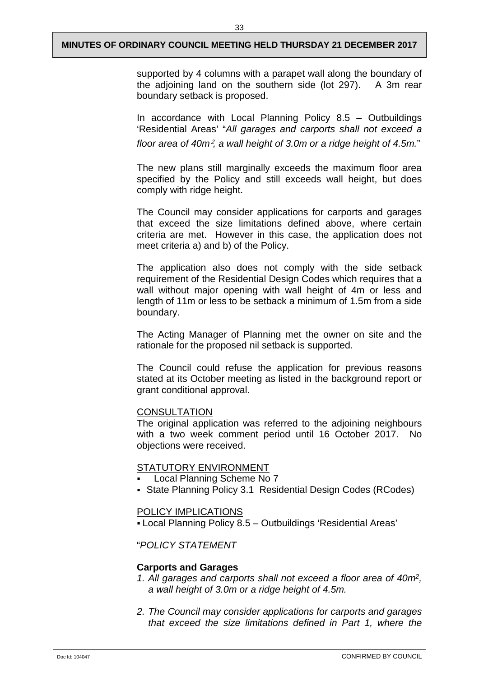supported by 4 columns with a parapet wall along the boundary of the adjoining land on the southern side (lot 297). A 3m rear boundary setback is proposed.

In accordance with Local Planning Policy 8.5 – Outbuildings 'Residential Areas' "*All garages and carports shall not exceed a floor area of 40m*²*, a wall height of 3.0m or a ridge height of 4.5m.*"

The new plans still marginally exceeds the maximum floor area specified by the Policy and still exceeds wall height, but does comply with ridge height.

The Council may consider applications for carports and garages that exceed the size limitations defined above, where certain criteria are met. However in this case, the application does not meet criteria a) and b) of the Policy.

The application also does not comply with the side setback requirement of the Residential Design Codes which requires that a wall without major opening with wall height of 4m or less and length of 11m or less to be setback a minimum of 1.5m from a side boundary.

The Acting Manager of Planning met the owner on site and the rationale for the proposed nil setback is supported.

The Council could refuse the application for previous reasons stated at its October meeting as listed in the background report or grant conditional approval.

#### **CONSULTATION**

The original application was referred to the adjoining neighbours with a two week comment period until 16 October 2017. No objections were received.

## STATUTORY ENVIRONMENT

- Local Planning Scheme No 7
- State Planning Policy 3.1 Residential Design Codes (RCodes)

## POLICY IMPLICATIONS

Local Planning Policy 8.5 – Outbuildings 'Residential Areas'

## "*POLICY STATEMENT*

#### **Carports and Garages**

- *1. All garages and carports shall not exceed a floor area of 40m2, a wall height of 3.0m or a ridge height of 4.5m.*
- *2. The Council may consider applications for carports and garages that exceed the size limitations defined in Part 1, where the*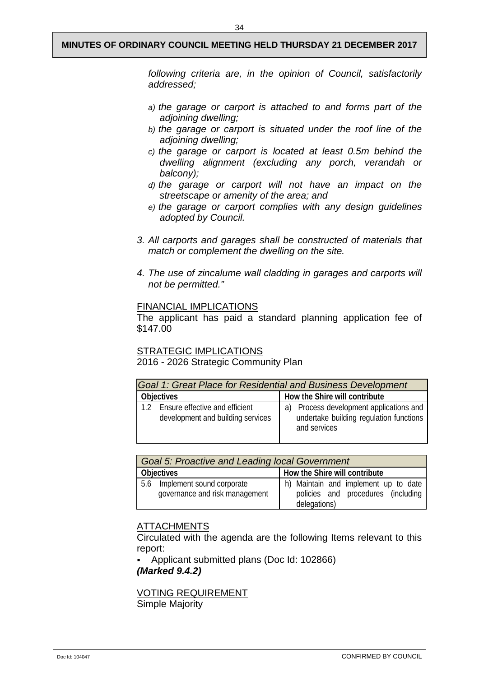34

*following criteria are, in the opinion of Council, satisfactorily addressed;*

- *a) the garage or carport is attached to and forms part of the adjoining dwelling;*
- *b) the garage or carport is situated under the roof line of the adjoining dwelling;*
- *c) the garage or carport is located at least 0.5m behind the dwelling alignment (excluding any porch, verandah or balcony);*
- *d) the garage or carport will not have an impact on the streetscape or amenity of the area; and*
- *e) the garage or carport complies with any design guidelines adopted by Council.*
- *3. All carports and garages shall be constructed of materials that match or complement the dwelling on the site.*
- *4. The use of zincalume wall cladding in garages and carports will not be permitted."*

#### FINANCIAL IMPLICATIONS

The applicant has paid a standard planning application fee of \$147.00

STRATEGIC IMPLICATIONS

2016 - 2026 Strategic Community Plan

| Goal 1: Great Place for Residential and Business Development        |                                                                                                       |  |  |
|---------------------------------------------------------------------|-------------------------------------------------------------------------------------------------------|--|--|
| <b>Objectives</b>                                                   | How the Shire will contribute                                                                         |  |  |
| Ensure effective and efficient<br>development and building services | Process development applications and<br>a)<br>undertake building regulation functions<br>and services |  |  |

| <b>Goal 5: Proactive and Leading local Government</b>           |                                                                                            |  |  |  |
|-----------------------------------------------------------------|--------------------------------------------------------------------------------------------|--|--|--|
| Objectives                                                      | How the Shire will contribute                                                              |  |  |  |
| 5.6 Implement sound corporate<br>governance and risk management | h) Maintain and implement up to date<br>policies and procedures (including<br>delegations) |  |  |  |

#### ATTACHMENTS

Circulated with the agenda are the following Items relevant to this report:

 Applicant submitted plans (Doc Id: 102866) *(Marked 9.4.2)*

VOTING REQUIREMENT Simple Majority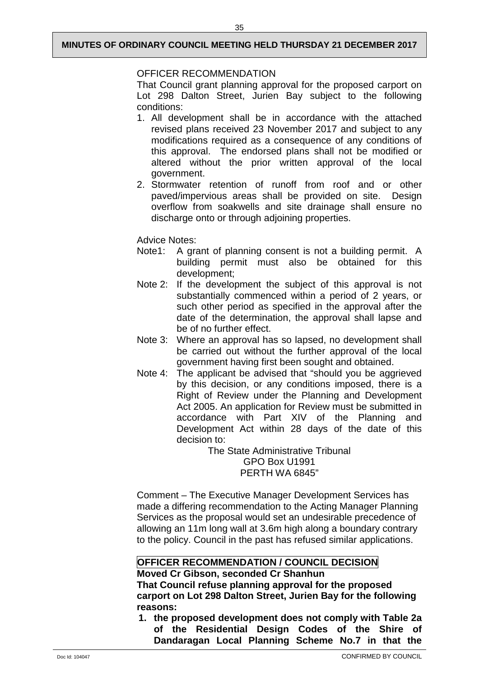## OFFICER RECOMMENDATION

That Council grant planning approval for the proposed carport on Lot 298 Dalton Street, Jurien Bay subject to the following conditions:

- 1. All development shall be in accordance with the attached revised plans received 23 November 2017 and subject to any modifications required as a consequence of any conditions of this approval. The endorsed plans shall not be modified or altered without the prior written approval of the local government.
- 2. Stormwater retention of runoff from roof and or other paved/impervious areas shall be provided on site. Design overflow from soakwells and site drainage shall ensure no discharge onto or through adjoining properties.

## Advice Notes:

- Note1: A grant of planning consent is not a building permit. A building permit must also be obtained for this development;
- Note 2: If the development the subject of this approval is not substantially commenced within a period of 2 years, or such other period as specified in the approval after the date of the determination, the approval shall lapse and be of no further effect.
- Note 3: Where an approval has so lapsed, no development shall be carried out without the further approval of the local government having first been sought and obtained.
- Note 4: The applicant be advised that "should you be aggrieved by this decision, or any conditions imposed, there is a Right of Review under the Planning and Development Act 2005. An application for Review must be submitted in accordance with Part XIV of the Planning and Development Act within 28 days of the date of this decision to:

The State Administrative Tribunal GPO Box U1991 PERTH WA 6845"

Comment – The Executive Manager Development Services has made a differing recommendation to the Acting Manager Planning Services as the proposal would set an undesirable precedence of allowing an 11m long wall at 3.6m high along a boundary contrary to the policy. Council in the past has refused similar applications.

## **OFFICER RECOMMENDATION / COUNCIL DECISION**

**Moved Cr Gibson, seconded Cr Shanhun**

**That Council refuse planning approval for the proposed carport on Lot 298 Dalton Street, Jurien Bay for the following reasons:**

**1. the proposed development does not comply with Table 2a of the Residential Design Codes of the Shire of Dandaragan Local Planning Scheme No.7 in that the**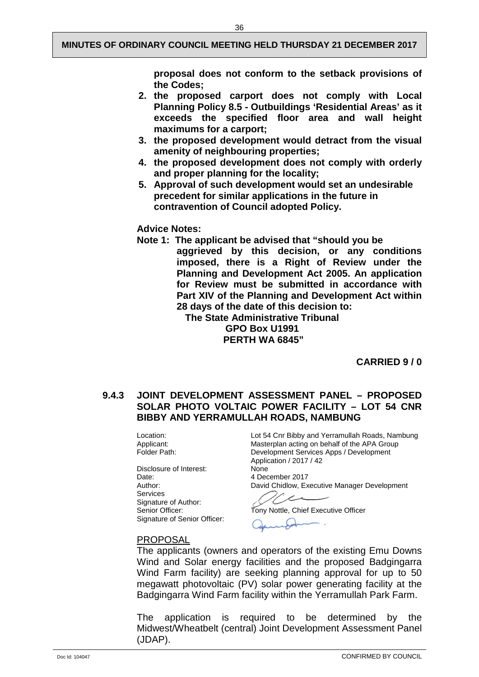36

**proposal does not conform to the setback provisions of the Codes;**

- **2. the proposed carport does not comply with Local Planning Policy 8.5 - Outbuildings 'Residential Areas' as it exceeds the specified floor area and wall height maximums for a carport;**
- **3. the proposed development would detract from the visual amenity of neighbouring properties;**
- **4. the proposed development does not comply with orderly and proper planning for the locality;**
- **5. Approval of such development would set an undesirable precedent for similar applications in the future in contravention of Council adopted Policy.**

#### **Advice Notes:**

- **Note 1: The applicant be advised that "should you be** 
	- **aggrieved by this decision, or any conditions imposed, there is a Right of Review under the Planning and Development Act 2005. An application for Review must be submitted in accordance with Part XIV of the Planning and Development Act within 28 days of the date of this decision to:**

**The State Administrative Tribunal GPO Box U1991 PERTH WA 6845"**

**CARRIED 9 / 0**

## <span id="page-38-0"></span>**9.4.3 JOINT DEVELOPMENT ASSESSMENT PANEL – PROPOSED SOLAR PHOTO VOLTAIC POWER FACILITY – LOT 54 CNR BIBBY AND YERRAMULLAH ROADS, NAMBUNG**

Disclosure of Interest:<br>Date: Services Signature of Author:<br>Senior Officer: Signature of Senior Officer:

Location: Lot 54 Cnr Bibby and Yerramullah Roads, Nambung<br>Applicant: Masterplan acting on behalf of the APA Group Applicant: Masterplan acting on behalf of the APA Group<br>
Folder Path: Collection Contract Development Services Apps / Development Development Services Apps / Development Application / 2017 / 42<br>None 4 December 2017

Author: David Chidlow, Executive Manager Development

Tony Nottle, Chief Executive Officer

#### PROPOSAL

The applicants (owners and operators of the existing Emu Downs Wind and Solar energy facilities and the proposed Badgingarra Wind Farm facility) are seeking planning approval for up to 50 megawatt photovoltaic (PV) solar power generating facility at the Badgingarra Wind Farm facility within the Yerramullah Park Farm.

The application is required to be determined by the Midwest/Wheatbelt (central) Joint Development Assessment Panel (JDAP).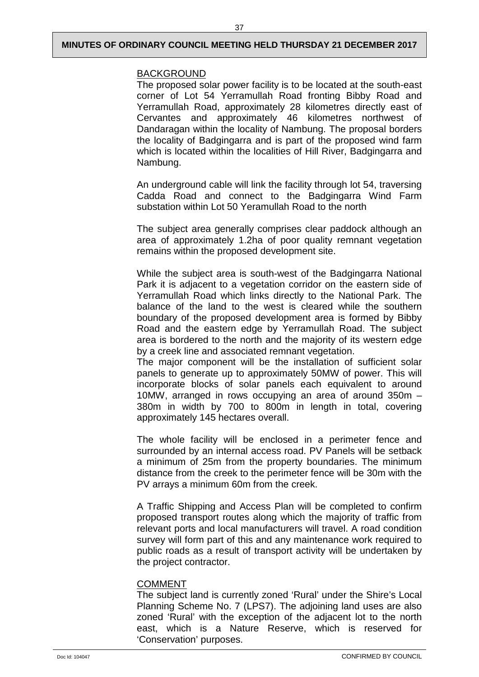## BACKGROUND

The proposed solar power facility is to be located at the south-east corner of Lot 54 Yerramullah Road fronting Bibby Road and Yerramullah Road, approximately 28 kilometres directly east of Cervantes and approximately 46 kilometres northwest of Dandaragan within the locality of Nambung. The proposal borders the locality of Badgingarra and is part of the proposed wind farm which is located within the localities of Hill River, Badgingarra and Nambung.

An underground cable will link the facility through lot 54, traversing Cadda Road and connect to the Badgingarra Wind Farm substation within Lot 50 Yeramullah Road to the north

The subject area generally comprises clear paddock although an area of approximately 1.2ha of poor quality remnant vegetation remains within the proposed development site.

While the subject area is south-west of the Badgingarra National Park it is adjacent to a vegetation corridor on the eastern side of Yerramullah Road which links directly to the National Park. The balance of the land to the west is cleared while the southern boundary of the proposed development area is formed by Bibby Road and the eastern edge by Yerramullah Road. The subject area is bordered to the north and the majority of its western edge by a creek line and associated remnant vegetation.

The major component will be the installation of sufficient solar panels to generate up to approximately 50MW of power. This will incorporate blocks of solar panels each equivalent to around 10MW, arranged in rows occupying an area of around 350m – 380m in width by 700 to 800m in length in total, covering approximately 145 hectares overall.

The whole facility will be enclosed in a perimeter fence and surrounded by an internal access road. PV Panels will be setback a minimum of 25m from the property boundaries. The minimum distance from the creek to the perimeter fence will be 30m with the PV arrays a minimum 60m from the creek.

A Traffic Shipping and Access Plan will be completed to confirm proposed transport routes along which the majority of traffic from relevant ports and local manufacturers will travel. A road condition survey will form part of this and any maintenance work required to public roads as a result of transport activity will be undertaken by the project contractor.

## COMMENT

The subject land is currently zoned 'Rural' under the Shire's Local Planning Scheme No. 7 (LPS7). The adjoining land uses are also zoned 'Rural' with the exception of the adjacent lot to the north east, which is a Nature Reserve, which is reserved for 'Conservation' purposes.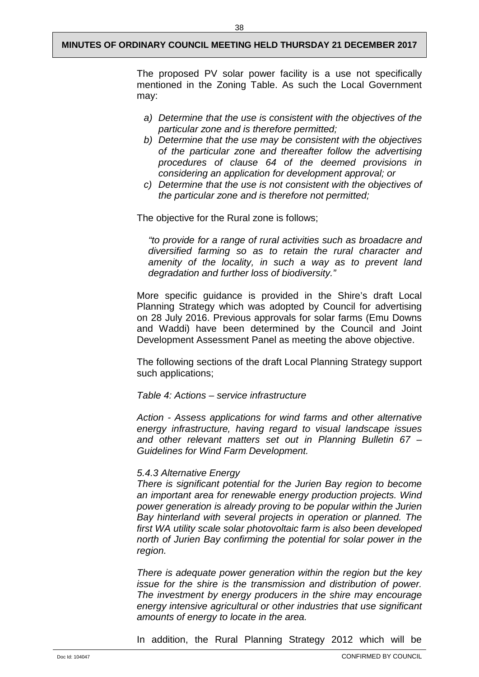The proposed PV solar power facility is a use not specifically mentioned in the Zoning Table. As such the Local Government may:

- *a) Determine that the use is consistent with the objectives of the particular zone and is therefore permitted;*
- *b) Determine that the use may be consistent with the objectives of the particular zone and thereafter follow the advertising procedures of clause 64 of the deemed provisions in considering an application for development approval; or*
- *c) Determine that the use is not consistent with the objectives of the particular zone and is therefore not permitted;*

The objective for the Rural zone is follows;

*"to provide for a range of rural activities such as broadacre and diversified farming so as to retain the rural character and amenity of the locality, in such a way as to prevent land degradation and further loss of biodiversity."*

More specific guidance is provided in the Shire's draft Local Planning Strategy which was adopted by Council for advertising on 28 July 2016. Previous approvals for solar farms (Emu Downs and Waddi) have been determined by the Council and Joint Development Assessment Panel as meeting the above objective.

The following sections of the draft Local Planning Strategy support such applications;

*Table 4: Actions – service infrastructure*

*Action - Assess applications for wind farms and other alternative energy infrastructure, having regard to visual landscape issues and other relevant matters set out in Planning Bulletin 67 – Guidelines for Wind Farm Development.*

#### *5.4.3 Alternative Energy*

*There is significant potential for the Jurien Bay region to become an important area for renewable energy production projects. Wind power generation is already proving to be popular within the Jurien Bay hinterland with several projects in operation or planned. The first WA utility scale solar photovoltaic farm is also been developed north of Jurien Bay confirming the potential for solar power in the region.*

*There is adequate power generation within the region but the key issue for the shire is the transmission and distribution of power. The investment by energy producers in the shire may encourage energy intensive agricultural or other industries that use significant amounts of energy to locate in the area.*

In addition, the Rural Planning Strategy 2012 which will be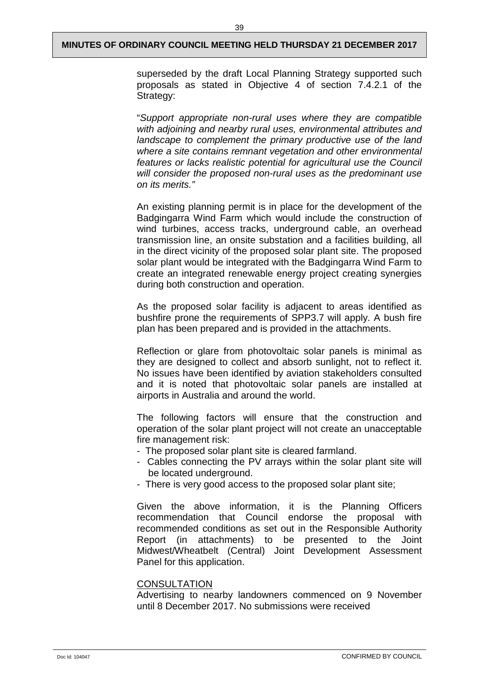superseded by the draft Local Planning Strategy supported such proposals as stated in Objective 4 of section 7.4.2.1 of the Strategy:

"*Support appropriate non-rural uses where they are compatible with adjoining and nearby rural uses, environmental attributes and landscape to complement the primary productive use of the land where a site contains remnant vegetation and other environmental features or lacks realistic potential for agricultural use the Council will consider the proposed non-rural uses as the predominant use on its merits."*

An existing planning permit is in place for the development of the Badgingarra Wind Farm which would include the construction of wind turbines, access tracks, underground cable, an overhead transmission line, an onsite substation and a facilities building, all in the direct vicinity of the proposed solar plant site. The proposed solar plant would be integrated with the Badgingarra Wind Farm to create an integrated renewable energy project creating synergies during both construction and operation.

As the proposed solar facility is adjacent to areas identified as bushfire prone the requirements of SPP3.7 will apply. A bush fire plan has been prepared and is provided in the attachments.

Reflection or glare from photovoltaic solar panels is minimal as they are designed to collect and absorb sunlight, not to reflect it. No issues have been identified by aviation stakeholders consulted and it is noted that photovoltaic solar panels are installed at airports in Australia and around the world.

The following factors will ensure that the construction and operation of the solar plant project will not create an unacceptable fire management risk:

- The proposed solar plant site is cleared farmland.
- Cables connecting the PV arrays within the solar plant site will be located underground.
- There is very good access to the proposed solar plant site;

Given the above information, it is the Planning Officers recommendation that Council endorse the proposal with recommended conditions as set out in the Responsible Authority Report (in attachments) to be presented to the Joint Midwest/Wheatbelt (Central) Joint Development Assessment Panel for this application.

#### **CONSULTATION**

Advertising to nearby landowners commenced on 9 November until 8 December 2017. No submissions were received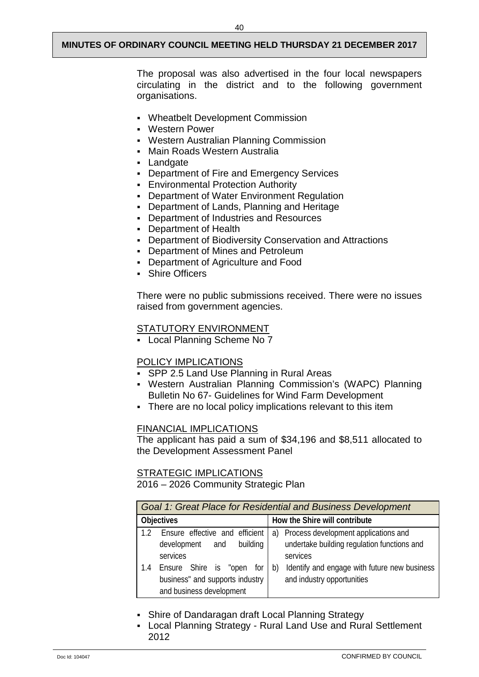The proposal was also advertised in the four local newspapers circulating in the district and to the following government

- Wheatbelt Development Commission
- Western Power

organisations.

- Western Australian Planning Commission
- Main Roads Western Australia
- Landgate
- **-** Department of Fire and Emergency Services
- **Environmental Protection Authority**
- **-** Department of Water Environment Regulation
- Department of Lands, Planning and Heritage
- Department of Industries and Resources
- Department of Health
- Department of Biodiversity Conservation and Attractions
- Department of Mines and Petroleum
- Department of Agriculture and Food
- Shire Officers

There were no public submissions received. There were no issues raised from government agencies.

## STATUTORY ENVIRONMENT

Local Planning Scheme No 7

## POLICY IMPLICATIONS

- SPP 2.5 Land Use Planning in Rural Areas
- Western Australian Planning Commission's (WAPC) Planning Bulletin No 67- Guidelines for Wind Farm Development
- There are no local policy implications relevant to this item

#### FINANCIAL IMPLICATIONS

The applicant has paid a sum of \$34,196 and \$8,511 allocated to the Development Assessment Panel

## STRATEGIC IMPLICATIONS

2016 – 2026 Community Strategic Plan

|                                                                                                    | Goal 1: Great Place for Residential and Business Development                     |  |  |
|----------------------------------------------------------------------------------------------------|----------------------------------------------------------------------------------|--|--|
| <b>Objectives</b>                                                                                  | How the Shire will contribute                                                    |  |  |
| Ensure effective and efficient                                                                     | a) Process development applications and                                          |  |  |
| building<br>development and<br>services                                                            | undertake building regulation functions and<br>services                          |  |  |
| Ensure Shire is "open<br>for<br>1.4<br>business" and supports industry<br>and business development | Identify and engage with future new business<br>b)<br>and industry opportunities |  |  |

- Shire of Dandaragan draft Local Planning Strategy
- Local Planning Strategy Rural Land Use and Rural Settlement 2012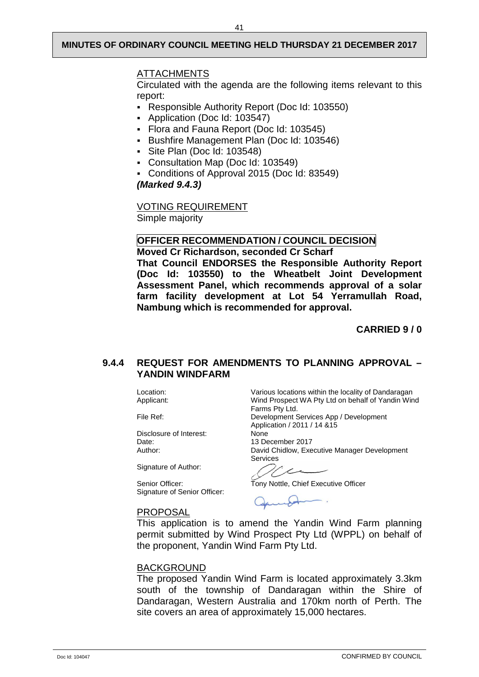#### ATTACHMENTS

Circulated with the agenda are the following items relevant to this report:

- Responsible Authority Report (Doc Id: 103550)
- Application (Doc Id: 103547)
- Flora and Fauna Report (Doc Id: 103545)
- Bushfire Management Plan (Doc Id: 103546)
- Site Plan (Doc Id: 103548)
- Consultation Map (Doc Id: 103549)
- Conditions of Approval 2015 (Doc Id: 83549)

*(Marked 9.4.3)* 

VOTING REQUIREMENT Simple majority

## **OFFICER RECOMMENDATION / COUNCIL DECISION**

**Moved Cr Richardson, seconded Cr Scharf That Council ENDORSES the Responsible Authority Report (Doc Id: 103550) to the Wheatbelt Joint Development Assessment Panel, which recommends approval of a solar farm facility development at Lot 54 Yerramullah Road, Nambung which is recommended for approval.**

**CARRIED 9 / 0**

#### <span id="page-43-0"></span>**9.4.4 REQUEST FOR AMENDMENTS TO PLANNING APPROVAL – YANDIN WINDFARM**

Disclosure of Interest: None Date: 13 December 2017<br>
Author: 13 David Chidlow. Exe

Signature of Author:

Signature of Senior Officer:

Location: Various locations within the locality of Dandaragan<br>Applicant: Wind Prospect WA Pty Ltd on behalf of Yandin Win Wind Prospect WA Pty Ltd on behalf of Yandin Wind Farms Pty Ltd. File Ref: Development Services App / Development Application / 2011 / 14 &15

> David Chidlow, Executive Manager Development Services

ر سم

Senior Officer: Tony Nottle, Chief Executive Officer

## PROPOSAL

This application is to amend the Yandin Wind Farm planning permit submitted by Wind Prospect Pty Ltd (WPPL) on behalf of the proponent, Yandin Wind Farm Pty Ltd.

## BACKGROUND

The proposed Yandin Wind Farm is located approximately 3.3km south of the township of Dandaragan within the Shire of Dandaragan, Western Australia and 170km north of Perth. The site covers an area of approximately 15,000 hectares.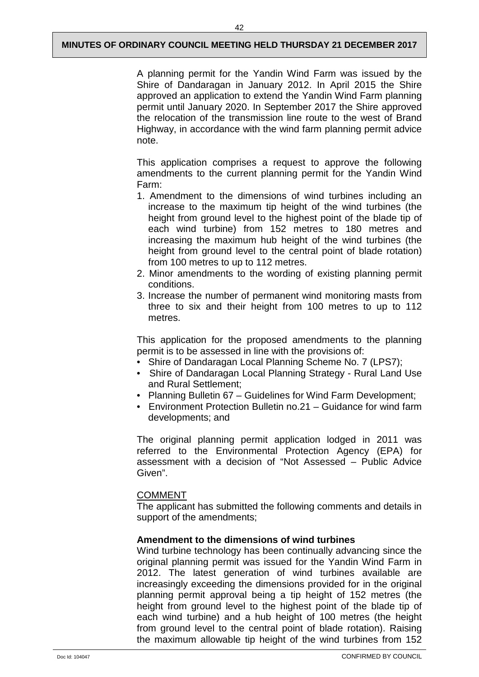A planning permit for the Yandin Wind Farm was issued by the Shire of Dandaragan in January 2012. In April 2015 the Shire approved an application to extend the Yandin Wind Farm planning permit until January 2020. In September 2017 the Shire approved the relocation of the transmission line route to the west of Brand Highway, in accordance with the wind farm planning permit advice note.

This application comprises a request to approve the following amendments to the current planning permit for the Yandin Wind Farm:

- 1. Amendment to the dimensions of wind turbines including an increase to the maximum tip height of the wind turbines (the height from ground level to the highest point of the blade tip of each wind turbine) from 152 metres to 180 metres and increasing the maximum hub height of the wind turbines (the height from ground level to the central point of blade rotation) from 100 metres to up to 112 metres.
- 2. Minor amendments to the wording of existing planning permit conditions.
- 3. Increase the number of permanent wind monitoring masts from three to six and their height from 100 metres to up to 112 metres.

This application for the proposed amendments to the planning permit is to be assessed in line with the provisions of:

- Shire of Dandaragan Local Planning Scheme No. 7 (LPS7);
- Shire of Dandaragan Local Planning Strategy Rural Land Use and Rural Settlement;
- Planning Bulletin 67 Guidelines for Wind Farm Development;
- Environment Protection Bulletin no.21 Guidance for wind farm developments; and

The original planning permit application lodged in 2011 was referred to the Environmental Protection Agency (EPA) for assessment with a decision of "Not Assessed – Public Advice Given".

#### COMMENT

The applicant has submitted the following comments and details in support of the amendments;

#### **Amendment to the dimensions of wind turbines**

Wind turbine technology has been continually advancing since the original planning permit was issued for the Yandin Wind Farm in 2012. The latest generation of wind turbines available are increasingly exceeding the dimensions provided for in the original planning permit approval being a tip height of 152 metres (the height from ground level to the highest point of the blade tip of each wind turbine) and a hub height of 100 metres (the height from ground level to the central point of blade rotation). Raising the maximum allowable tip height of the wind turbines from 152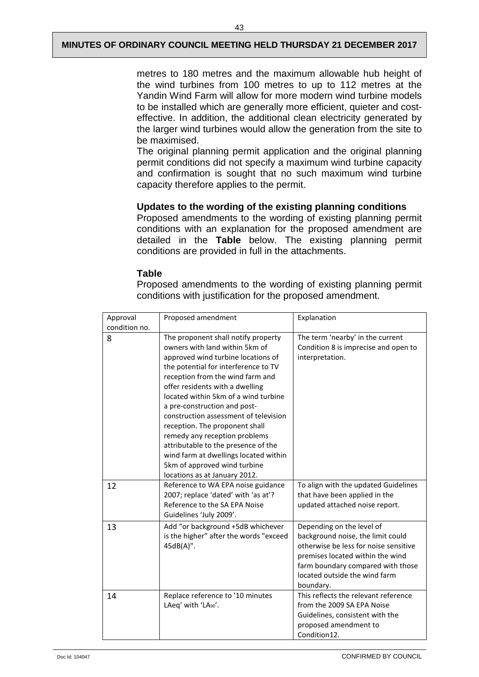metres to 180 metres and the maximum allowable hub height of the wind turbines from 100 metres to up to 112 metres at the Yandin Wind Farm will allow for more modern wind turbine models to be installed which are generally more efficient, quieter and costeffective. In addition, the additional clean electricity generated by the larger wind turbines would allow the generation from the site to be maximised.

The original planning permit application and the original planning permit conditions did not specify a maximum wind turbine capacity and confirmation is sought that no such maximum wind turbine capacity therefore applies to the permit.

#### **Updates to the wording of the existing planning conditions**

Proposed amendments to the wording of existing planning permit conditions with an explanation for the proposed amendment are detailed in the **Table** below. The existing planning permit conditions are provided in full in the attachments.

## **Table**

Proposed amendments to the wording of existing planning permit conditions with justification for the proposed amendment.

| Approval      | Proposed amendment                                                                                                                                                                                                                                                                                                                                                                                                                                                                                                                                              | Explanation                                                                                                                                                                                                                    |
|---------------|-----------------------------------------------------------------------------------------------------------------------------------------------------------------------------------------------------------------------------------------------------------------------------------------------------------------------------------------------------------------------------------------------------------------------------------------------------------------------------------------------------------------------------------------------------------------|--------------------------------------------------------------------------------------------------------------------------------------------------------------------------------------------------------------------------------|
| condition no. |                                                                                                                                                                                                                                                                                                                                                                                                                                                                                                                                                                 |                                                                                                                                                                                                                                |
| 8             | The proponent shall notify property<br>owners with land within 5km of<br>approved wind turbine locations of<br>the potential for interference to TV<br>reception from the wind farm and<br>offer residents with a dwelling<br>located within 5km of a wind turbine<br>a pre-construction and post-<br>construction assessment of television<br>reception. The proponent shall<br>remedy any reception problems<br>attributable to the presence of the<br>wind farm at dwellings located within<br>5km of approved wind turbine<br>locations as at January 2012. | The term 'nearby' in the current<br>Condition 8 is imprecise and open to<br>interpretation.                                                                                                                                    |
| 12            | Reference to WA EPA noise guidance<br>2007; replace 'dated' with 'as at'?<br>Reference to the SA EPA Noise<br>Guidelines 'July 2009'.                                                                                                                                                                                                                                                                                                                                                                                                                           | To align with the updated Guidelines<br>that have been applied in the<br>updated attached noise report.                                                                                                                        |
| 13            | Add "or background +5dB whichever<br>is the higher" after the words "exceed<br>45dB(A)".                                                                                                                                                                                                                                                                                                                                                                                                                                                                        | Depending on the level of<br>background noise, the limit could<br>otherwise be less for noise sensitive<br>premises located within the wind<br>farm boundary compared with those<br>located outside the wind farm<br>boundary. |
| 14            | Replace reference to '10 minutes<br>LAeq' with 'LA90'.                                                                                                                                                                                                                                                                                                                                                                                                                                                                                                          | This reflects the relevant reference<br>from the 2009 SA EPA Noise<br>Guidelines, consistent with the<br>proposed amendment to<br>Condition12.                                                                                 |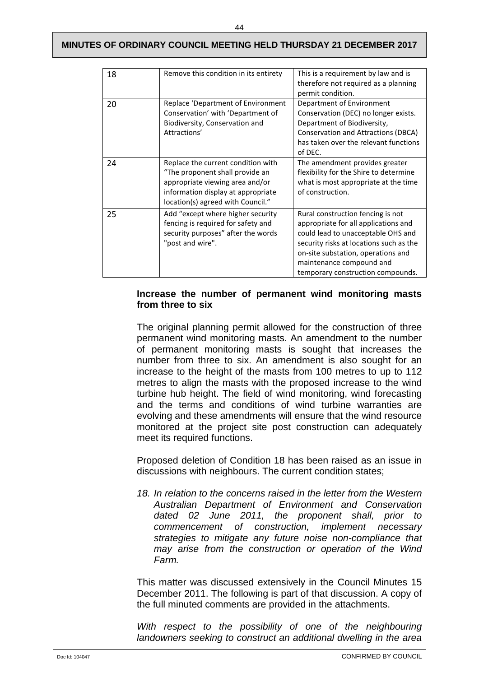| 18 | Remove this condition in its entirety                                                                                                                                               | This is a requirement by law and is<br>therefore not required as a planning<br>permit condition.                                                                                                                                                                  |
|----|-------------------------------------------------------------------------------------------------------------------------------------------------------------------------------------|-------------------------------------------------------------------------------------------------------------------------------------------------------------------------------------------------------------------------------------------------------------------|
| 20 | Replace 'Department of Environment<br>Conservation' with 'Department of<br>Biodiversity, Conservation and<br>Attractions'                                                           | Department of Environment<br>Conservation (DEC) no longer exists.<br>Department of Biodiversity,<br>Conservation and Attractions (DBCA)<br>has taken over the relevant functions<br>of DEC.                                                                       |
| 24 | Replace the current condition with<br>"The proponent shall provide an<br>appropriate viewing area and/or<br>information display at appropriate<br>location(s) agreed with Council." | The amendment provides greater<br>flexibility for the Shire to determine<br>what is most appropriate at the time<br>of construction.                                                                                                                              |
| 25 | Add "except where higher security<br>fencing is required for safety and<br>security purposes" after the words<br>"post and wire".                                                   | Rural construction fencing is not<br>appropriate for all applications and<br>could lead to unacceptable OHS and<br>security risks at locations such as the<br>on-site substation, operations and<br>maintenance compound and<br>temporary construction compounds. |

#### **Increase the number of permanent wind monitoring masts from three to six**

The original planning permit allowed for the construction of three permanent wind monitoring masts. An amendment to the number of permanent monitoring masts is sought that increases the number from three to six. An amendment is also sought for an increase to the height of the masts from 100 metres to up to 112 metres to align the masts with the proposed increase to the wind turbine hub height. The field of wind monitoring, wind forecasting and the terms and conditions of wind turbine warranties are evolving and these amendments will ensure that the wind resource monitored at the project site post construction can adequately meet its required functions.

Proposed deletion of Condition 18 has been raised as an issue in discussions with neighbours. The current condition states;

*18. In relation to the concerns raised in the letter from the Western Australian Department of Environment and Conservation dated 02 June 2011, the proponent shall, prior to commencement of construction, strategies to mitigate any future noise non-compliance that may arise from the construction or operation of the Wind Farm.*

This matter was discussed extensively in the Council Minutes 15 December 2011. The following is part of that discussion. A copy of the full minuted comments are provided in the attachments.

With respect to the possibility of one of the neighbouring *landowners seeking to construct an additional dwelling in the area*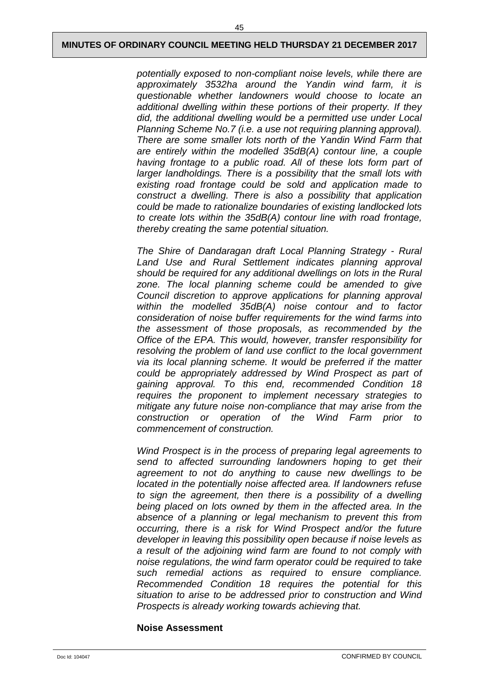*potentially exposed to non-compliant noise levels, while there are approximately 3532ha around the Yandin wind farm, it is questionable whether landowners would choose to locate an additional dwelling within these portions of their property. If they did, the additional dwelling would be a permitted use under Local Planning Scheme No.7 (i.e. a use not requiring planning approval). There are some smaller lots north of the Yandin Wind Farm that are entirely within the modelled 35dB(A) contour line, a couple*  having frontage to a public road. All of these lots form part of *larger landholdings. There is a possibility that the small lots with existing road frontage could be sold and application made to construct a dwelling. There is also a possibility that application could be made to rationalize boundaries of existing landlocked lots to create lots within the 35dB(A) contour line with road frontage, thereby creating the same potential situation.*

*The Shire of Dandaragan draft Local Planning Strategy - Rural Land Use and Rural Settlement indicates planning approval should be required for any additional dwellings on lots in the Rural zone. The local planning scheme could be amended to give Council discretion to approve applications for planning approval within the modelled 35dB(A) noise contour and to factor consideration of noise buffer requirements for the wind farms into the assessment of those proposals, as recommended by the Office of the EPA. This would, however, transfer responsibility for resolving the problem of land use conflict to the local government via its local planning scheme. It would be preferred if the matter could be appropriately addressed by Wind Prospect as part of gaining approval. To this end, recommended Condition 18 requires the proponent to implement necessary strategies to mitigate any future noise non-compliance that may arise from the construction or operation of the Wind Farm prior to commencement of construction.*

*Wind Prospect is in the process of preparing legal agreements to send to affected surrounding landowners hoping to get their agreement to not do anything to cause new dwellings to be located in the potentially noise affected area. If landowners refuse to sign the agreement, then there is a possibility of a dwelling being placed on lots owned by them in the affected area. In the absence of a planning or legal mechanism to prevent this from occurring, there is a risk for Wind Prospect and/or the future developer in leaving this possibility open because if noise levels as a result of the adjoining wind farm are found to not comply with noise regulations, the wind farm operator could be required to take such remedial actions as required to ensure compliance. Recommended Condition 18 requires the potential for this situation to arise to be addressed prior to construction and Wind Prospects is already working towards achieving that.*

#### **Noise Assessment**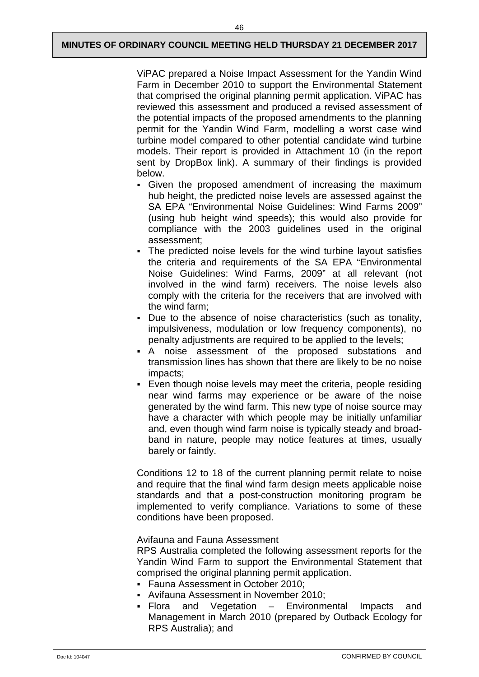46

ViPAC prepared a Noise Impact Assessment for the Yandin Wind Farm in December 2010 to support the Environmental Statement that comprised the original planning permit application. ViPAC has reviewed this assessment and produced a revised assessment of the potential impacts of the proposed amendments to the planning permit for the Yandin Wind Farm, modelling a worst case wind turbine model compared to other potential candidate wind turbine models. Their report is provided in Attachment 10 (in the report sent by DropBox link). A summary of their findings is provided below.

- Given the proposed amendment of increasing the maximum hub height, the predicted noise levels are assessed against the SA EPA "Environmental Noise Guidelines: Wind Farms 2009" (using hub height wind speeds); this would also provide for compliance with the 2003 guidelines used in the original assessment;
- The predicted noise levels for the wind turbine layout satisfies the criteria and requirements of the SA EPA "Environmental Noise Guidelines: Wind Farms, 2009" at all relevant (not involved in the wind farm) receivers. The noise levels also comply with the criteria for the receivers that are involved with the wind farm;
- Due to the absence of noise characteristics (such as tonality, impulsiveness, modulation or low frequency components), no penalty adjustments are required to be applied to the levels;
- A noise assessment of the proposed substations and transmission lines has shown that there are likely to be no noise impacts;
- Even though noise levels may meet the criteria, people residing near wind farms may experience or be aware of the noise generated by the wind farm. This new type of noise source may have a character with which people may be initially unfamiliar and, even though wind farm noise is typically steady and broadband in nature, people may notice features at times, usually barely or faintly.

Conditions 12 to 18 of the current planning permit relate to noise and require that the final wind farm design meets applicable noise standards and that a post-construction monitoring program be implemented to verify compliance. Variations to some of these conditions have been proposed.

Avifauna and Fauna Assessment

RPS Australia completed the following assessment reports for the Yandin Wind Farm to support the Environmental Statement that comprised the original planning permit application.

- Fauna Assessment in October 2010;
- Avifauna Assessment in November 2010;
- Flora and Vegetation Environmental Impacts and Management in March 2010 (prepared by Outback Ecology for RPS Australia); and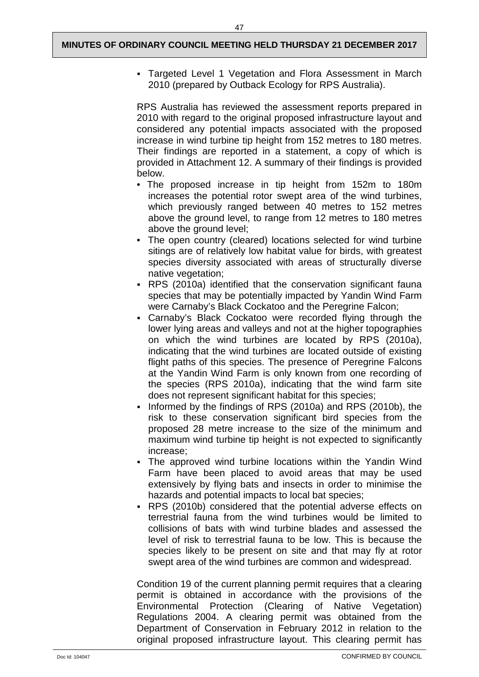Targeted Level 1 Vegetation and Flora Assessment in March 2010 (prepared by Outback Ecology for RPS Australia).

RPS Australia has reviewed the assessment reports prepared in 2010 with regard to the original proposed infrastructure layout and considered any potential impacts associated with the proposed increase in wind turbine tip height from 152 metres to 180 metres. Their findings are reported in a statement, a copy of which is provided in Attachment 12. A summary of their findings is provided below.

- The proposed increase in tip height from 152m to 180m increases the potential rotor swept area of the wind turbines, which previously ranged between 40 metres to 152 metres above the ground level, to range from 12 metres to 180 metres above the ground level;
- The open country (cleared) locations selected for wind turbine sitings are of relatively low habitat value for birds, with greatest species diversity associated with areas of structurally diverse native vegetation;
- RPS (2010a) identified that the conservation significant fauna species that may be potentially impacted by Yandin Wind Farm were Carnaby's Black Cockatoo and the Peregrine Falcon;
- Carnaby's Black Cockatoo were recorded flying through the lower lying areas and valleys and not at the higher topographies on which the wind turbines are located by RPS (2010a), indicating that the wind turbines are located outside of existing flight paths of this species. The presence of Peregrine Falcons at the Yandin Wind Farm is only known from one recording of the species (RPS 2010a), indicating that the wind farm site does not represent significant habitat for this species;
- Informed by the findings of RPS (2010a) and RPS (2010b), the risk to these conservation significant bird species from the proposed 28 metre increase to the size of the minimum and maximum wind turbine tip height is not expected to significantly increase;
- The approved wind turbine locations within the Yandin Wind Farm have been placed to avoid areas that may be used extensively by flying bats and insects in order to minimise the hazards and potential impacts to local bat species;
- RPS (2010b) considered that the potential adverse effects on terrestrial fauna from the wind turbines would be limited to collisions of bats with wind turbine blades and assessed the level of risk to terrestrial fauna to be low. This is because the species likely to be present on site and that may fly at rotor swept area of the wind turbines are common and widespread.

Condition 19 of the current planning permit requires that a clearing permit is obtained in accordance with the provisions of the Environmental Protection (Clearing of Native Vegetation) Regulations 2004. A clearing permit was obtained from the Department of Conservation in February 2012 in relation to the original proposed infrastructure layout. This clearing permit has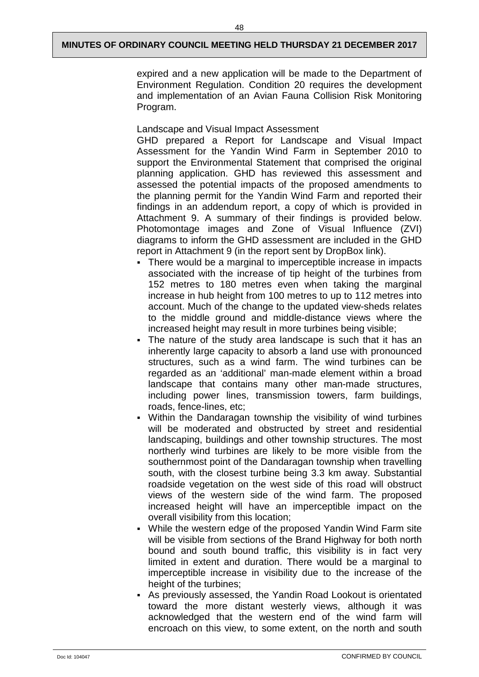expired and a new application will be made to the Department of Environment Regulation. Condition 20 requires the development and implementation of an Avian Fauna Collision Risk Monitoring Program.

Landscape and Visual Impact Assessment

GHD prepared a Report for Landscape and Visual Impact Assessment for the Yandin Wind Farm in September 2010 to support the Environmental Statement that comprised the original planning application. GHD has reviewed this assessment and assessed the potential impacts of the proposed amendments to the planning permit for the Yandin Wind Farm and reported their findings in an addendum report, a copy of which is provided in Attachment 9. A summary of their findings is provided below. Photomontage images and Zone of Visual Influence (ZVI) diagrams to inform the GHD assessment are included in the GHD report in Attachment 9 (in the report sent by DropBox link).

- There would be a marginal to imperceptible increase in impacts associated with the increase of tip height of the turbines from 152 metres to 180 metres even when taking the marginal increase in hub height from 100 metres to up to 112 metres into account. Much of the change to the updated view-sheds relates to the middle ground and middle-distance views where the increased height may result in more turbines being visible;
- The nature of the study area landscape is such that it has an inherently large capacity to absorb a land use with pronounced structures, such as a wind farm. The wind turbines can be regarded as an 'additional' man-made element within a broad landscape that contains many other man-made structures, including power lines, transmission towers, farm buildings, roads, fence-lines, etc;
- Within the Dandaragan township the visibility of wind turbines will be moderated and obstructed by street and residential landscaping, buildings and other township structures. The most northerly wind turbines are likely to be more visible from the southernmost point of the Dandaragan township when travelling south, with the closest turbine being 3.3 km away. Substantial roadside vegetation on the west side of this road will obstruct views of the western side of the wind farm. The proposed increased height will have an imperceptible impact on the overall visibility from this location;
- While the western edge of the proposed Yandin Wind Farm site will be visible from sections of the Brand Highway for both north bound and south bound traffic, this visibility is in fact very limited in extent and duration. There would be a marginal to imperceptible increase in visibility due to the increase of the height of the turbines;
- As previously assessed, the Yandin Road Lookout is orientated toward the more distant westerly views, although it was acknowledged that the western end of the wind farm will encroach on this view, to some extent, on the north and south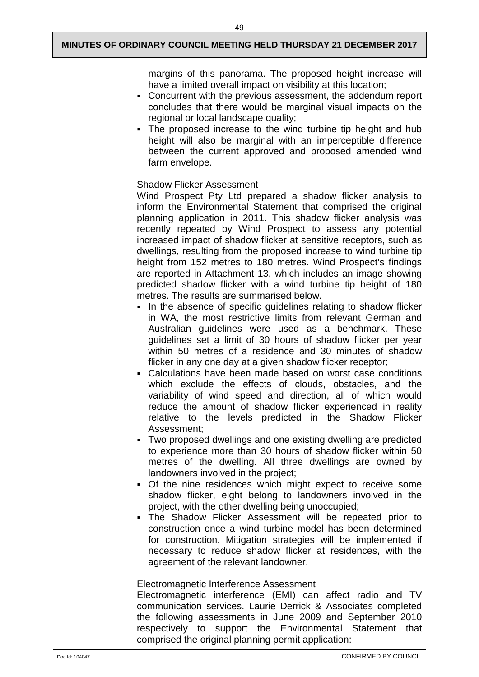margins of this panorama. The proposed height increase will have a limited overall impact on visibility at this location;

- Concurrent with the previous assessment, the addendum report concludes that there would be marginal visual impacts on the regional or local landscape quality;
- The proposed increase to the wind turbine tip height and hub height will also be marginal with an imperceptible difference between the current approved and proposed amended wind farm envelope.

## Shadow Flicker Assessment

Wind Prospect Pty Ltd prepared a shadow flicker analysis to inform the Environmental Statement that comprised the original planning application in 2011. This shadow flicker analysis was recently repeated by Wind Prospect to assess any potential increased impact of shadow flicker at sensitive receptors, such as dwellings, resulting from the proposed increase to wind turbine tip height from 152 metres to 180 metres. Wind Prospect's findings are reported in Attachment 13, which includes an image showing predicted shadow flicker with a wind turbine tip height of 180 metres. The results are summarised below.

- In the absence of specific guidelines relating to shadow flicker in WA, the most restrictive limits from relevant German and Australian guidelines were used as a benchmark. These guidelines set a limit of 30 hours of shadow flicker per year within 50 metres of a residence and 30 minutes of shadow flicker in any one day at a given shadow flicker receptor;
- Calculations have been made based on worst case conditions which exclude the effects of clouds, obstacles, and the variability of wind speed and direction, all of which would reduce the amount of shadow flicker experienced in reality relative to the levels predicted in the Shadow Flicker Assessment;
- Two proposed dwellings and one existing dwelling are predicted to experience more than 30 hours of shadow flicker within 50 metres of the dwelling. All three dwellings are owned by landowners involved in the project;
- Of the nine residences which might expect to receive some shadow flicker, eight belong to landowners involved in the project, with the other dwelling being unoccupied;
- The Shadow Flicker Assessment will be repeated prior to construction once a wind turbine model has been determined for construction. Mitigation strategies will be implemented if necessary to reduce shadow flicker at residences, with the agreement of the relevant landowner.

#### Electromagnetic Interference Assessment

Electromagnetic interference (EMI) can affect radio and TV communication services. Laurie Derrick & Associates completed the following assessments in June 2009 and September 2010 respectively to support the Environmental Statement that comprised the original planning permit application: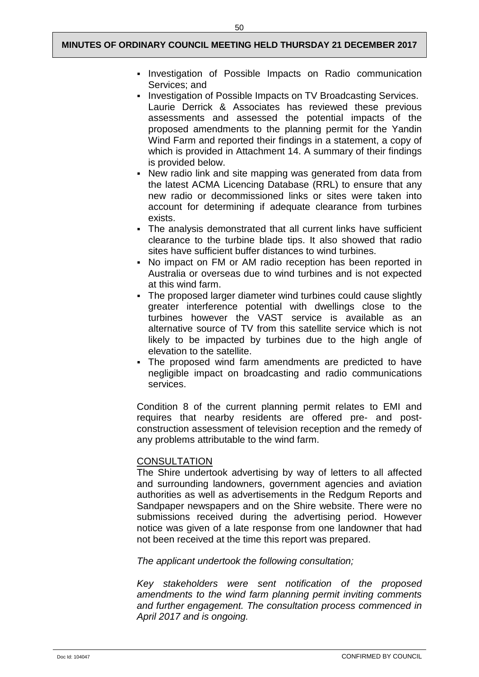- Investigation of Possible Impacts on Radio communication Services; and
- Investigation of Possible Impacts on TV Broadcasting Services. Laurie Derrick & Associates has reviewed these previous assessments and assessed the potential impacts of the proposed amendments to the planning permit for the Yandin Wind Farm and reported their findings in a statement, a copy of which is provided in Attachment 14. A summary of their findings is provided below.
- New radio link and site mapping was generated from data from the latest ACMA Licencing Database (RRL) to ensure that any new radio or decommissioned links or sites were taken into account for determining if adequate clearance from turbines exists.
- The analysis demonstrated that all current links have sufficient clearance to the turbine blade tips. It also showed that radio sites have sufficient buffer distances to wind turbines.
- No impact on FM or AM radio reception has been reported in Australia or overseas due to wind turbines and is not expected at this wind farm.
- The proposed larger diameter wind turbines could cause slightly greater interference potential with dwellings close to the turbines however the VAST service is available as an alternative source of TV from this satellite service which is not likely to be impacted by turbines due to the high angle of elevation to the satellite.
- The proposed wind farm amendments are predicted to have negligible impact on broadcasting and radio communications services.

Condition 8 of the current planning permit relates to EMI and requires that nearby residents are offered pre- and postconstruction assessment of television reception and the remedy of any problems attributable to the wind farm.

## **CONSULTATION**

The Shire undertook advertising by way of letters to all affected and surrounding landowners, government agencies and aviation authorities as well as advertisements in the Redgum Reports and Sandpaper newspapers and on the Shire website. There were no submissions received during the advertising period. However notice was given of a late response from one landowner that had not been received at the time this report was prepared.

*The applicant undertook the following consultation;*

*Key stakeholders were sent notification of the proposed amendments to the wind farm planning permit inviting comments and further engagement. The consultation process commenced in April 2017 and is ongoing.*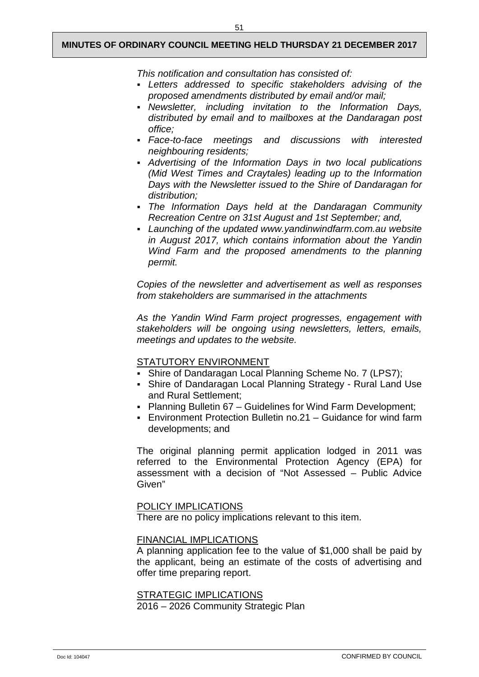51

*This notification and consultation has consisted of:* 

- *Letters addressed to specific stakeholders advising of the proposed amendments distributed by email and/or mail;*
- *Newsletter, including invitation to the Information Days, distributed by email and to mailboxes at the Dandaragan post office;*
- *Face-to-face meetings and discussions with interested neighbouring residents;*
- *Advertising of the Information Days in two local publications (Mid West Times and Craytales) leading up to the Information Days with the Newsletter issued to the Shire of Dandaragan for distribution;*
- *The Information Days held at the Dandaragan Community Recreation Centre on 31st August and 1st September; and,*
- *Launching of the updated www.yandinwindfarm.com.au website in August 2017, which contains information about the Yandin Wind Farm and the proposed amendments to the planning permit.*

*Copies of the newsletter and advertisement as well as responses from stakeholders are summarised in the attachments* 

*As the Yandin Wind Farm project progresses, engagement with stakeholders will be ongoing using newsletters, letters, emails, meetings and updates to the website.*

## STATUTORY ENVIRONMENT

- Shire of Dandaragan Local Planning Scheme No. 7 (LPS7);
- Shire of Dandaragan Local Planning Strategy Rural Land Use and Rural Settlement;
- Planning Bulletin 67 Guidelines for Wind Farm Development;
- Environment Protection Bulletin no.21 Guidance for wind farm developments; and

The original planning permit application lodged in 2011 was referred to the Environmental Protection Agency (EPA) for assessment with a decision of "Not Assessed – Public Advice Given"

#### POLICY IMPLICATIONS

There are no policy implications relevant to this item.

#### FINANCIAL IMPLICATIONS

A planning application fee to the value of \$1,000 shall be paid by the applicant, being an estimate of the costs of advertising and offer time preparing report.

#### STRATEGIC IMPLICATIONS 2016 – 2026 Community Strategic Plan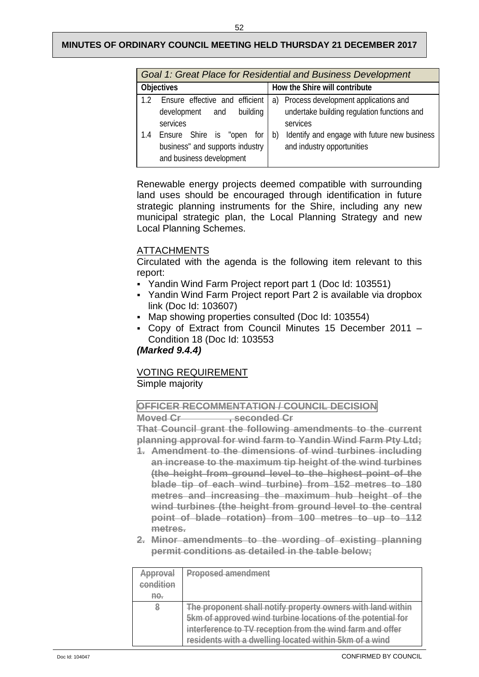#### 52

## **MINUTES OF ORDINARY COUNCIL MEETING HELD THURSDAY 21 DECEMBER 2017**

|                   | Goal 1: Great Place for Residential and Business Development                                |                                                                                  |  |  |
|-------------------|---------------------------------------------------------------------------------------------|----------------------------------------------------------------------------------|--|--|
| <b>Objectives</b> |                                                                                             | How the Shire will contribute                                                    |  |  |
|                   | Ensure effective and efficient                                                              | Process development applications and<br>a)                                       |  |  |
|                   | building<br>development and<br>services                                                     | undertake building regulation functions and<br>services                          |  |  |
| 1.4               | Ensure Shire is "open<br>for<br>business" and supports industry<br>and business development | Identify and engage with future new business<br>b)<br>and industry opportunities |  |  |

Renewable energy projects deemed compatible with surrounding land uses should be encouraged through identification in future strategic planning instruments for the Shire, including any new municipal strategic plan, the Local Planning Strategy and new Local Planning Schemes.

## ATTACHMENTS

Circulated with the agenda is the following item relevant to this report:

- Yandin Wind Farm Project report part 1 (Doc Id: 103551)
- Yandin Wind Farm Project report Part 2 is available via dropbox link (Doc Id: 103607)
- Map showing properties consulted (Doc Id: 103554)
- Copy of Extract from Council Minutes 15 December 2011 Condition 18 (Doc Id: 103553

## *(Marked 9.4.4)*

## VOTING REQUIREMENT

## Simple majority

**OFFICER RECOMMENTATION / COUNCIL DECISION**

**Moved Cr** , seconded Cr

**That Council grant the following amendments to the current planning approval for wind farm to Yandin Wind Farm Pty Ltd;** 

- **1. Amendment to the dimensions of wind turbines including an increase to the maximum tip height of the wind turbines (the height from ground level to the highest point of the blade tip of each wind turbine) from 152 metres to 180 metres and increasing the maximum hub height of the wind turbines (the height from ground level to the central point of blade rotation) from 100 metres to up to 112 metres.**
- **2. Minor amendments to the wording of existing planning permit conditions as detailed in the table below;**

| Approval    | <b>Proposed amendment</b>                                   |
|-------------|-------------------------------------------------------------|
| condition   |                                                             |
| $H\Theta$ . |                                                             |
| 8           | The proponent shall notify property owners with land within |
|             | 5km of approved wind turbine locations of the potential for |
|             | interference to TV reception from the wind farm and offer   |
|             | residents with a dwelling located within 5km of a wind      |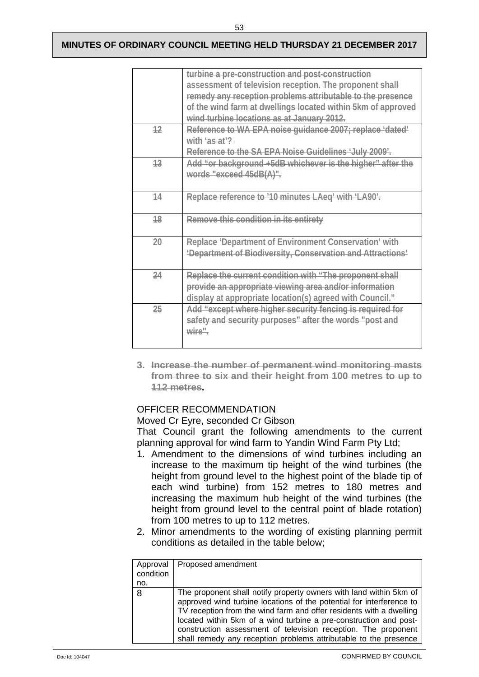|    | turbine a pre-construction and post-construction             |
|----|--------------------------------------------------------------|
|    | assessment of television reception. The proponent shall      |
|    | remedy any reception problems attributable to the presence   |
|    | of the wind farm at dwellings located within 5km of approved |
|    | wind turbine locations as at January 2012.                   |
| 12 | Reference to WA EPA noise guidance 2007; replace 'dated'     |
|    | with 'as at'?                                                |
|    | Reference to the SA EPA Noise Guidelines 'July 2009'.        |
| 13 | Add "or background +5dB whichever is the higher" after the   |
|    | words "exceed 45dB(A)".                                      |
|    |                                                              |
| 14 | Replace reference to '10 minutes LAeq' with 'LA90'.          |
|    |                                                              |
| 18 | Remove this condition in its entirety                        |
|    |                                                              |
| 20 | Replace 'Department of Environment Conservation' with        |
|    | 'Department of Biodiversity, Conservation and Attractions'   |
|    |                                                              |
| 24 | Replace the current condition with "The proponent shall      |
|    | provide an appropriate viewing area and/or information       |
|    | display at appropriate location(s) agreed with Council."     |
| 25 | Add "except where higher security fencing is required for    |
|    | safety and security purposes" after the words "post and      |
|    | wire"                                                        |
|    |                                                              |

**3. Increase the number of permanent wind monitoring masts from three to six and their height from 100 metres to up to 112 metres.**

## OFFICER RECOMMENDATION

Moved Cr Eyre, seconded Cr Gibson

That Council grant the following amendments to the current planning approval for wind farm to Yandin Wind Farm Pty Ltd;

- 1. Amendment to the dimensions of wind turbines including an increase to the maximum tip height of the wind turbines (the height from ground level to the highest point of the blade tip of each wind turbine) from 152 metres to 180 metres and increasing the maximum hub height of the wind turbines (the height from ground level to the central point of blade rotation) from 100 metres to up to 112 metres.
- 2. Minor amendments to the wording of existing planning permit conditions as detailed in the table below;

| Approval<br>condition | Proposed amendment                                                                                                                                                                                                                                                                                                                                                                                                           |
|-----------------------|------------------------------------------------------------------------------------------------------------------------------------------------------------------------------------------------------------------------------------------------------------------------------------------------------------------------------------------------------------------------------------------------------------------------------|
| no.                   |                                                                                                                                                                                                                                                                                                                                                                                                                              |
| -8                    | The proponent shall notify property owners with land within 5km of<br>approved wind turbine locations of the potential for interference to<br>TV reception from the wind farm and offer residents with a dwelling<br>located within 5km of a wind turbine a pre-construction and post-<br>construction assessment of television reception. The proponent<br>shall remedy any reception problems attributable to the presence |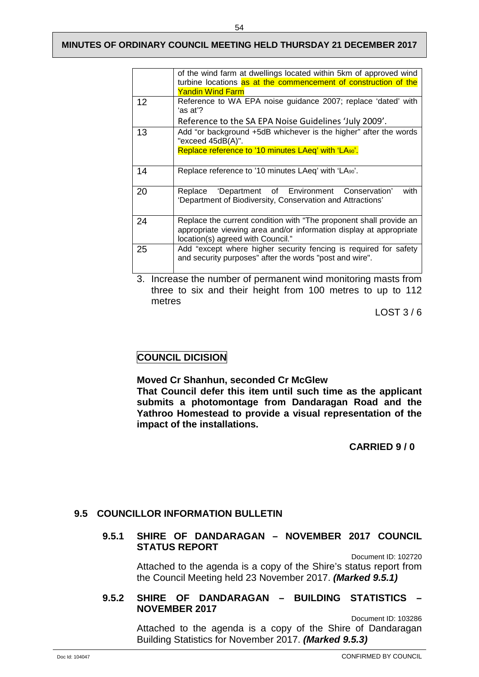|    | of the wind farm at dwellings located within 5km of approved wind                                                         |
|----|---------------------------------------------------------------------------------------------------------------------------|
|    | turbine locations as at the commencement of construction of the                                                           |
|    | <b>Yandin Wind Farm</b>                                                                                                   |
| 12 | Reference to WA EPA noise guidance 2007; replace 'dated' with                                                             |
|    | ʻas at'?                                                                                                                  |
|    | Reference to the SA EPA Noise Guidelines 'July 2009'.                                                                     |
| 13 | Add "or background +5dB whichever is the higher" after the words<br>"exceed 45dB(A)".                                     |
|    | Replace reference to '10 minutes LAeq' with 'LA90'.                                                                       |
|    |                                                                                                                           |
| 14 | Replace reference to '10 minutes LAeq' with 'LA90'.                                                                       |
|    |                                                                                                                           |
| 20 | with<br>'Department of Environment Conservation'<br>Replace<br>'Department of Biodiversity, Conservation and Attractions' |
| 24 | Replace the current condition with "The proponent shall provide an                                                        |
|    | appropriate viewing area and/or information display at appropriate<br>location(s) agreed with Council."                   |
| 25 | Add "except where higher security fencing is required for safety                                                          |
|    | and security purposes" after the words "post and wire".                                                                   |
|    |                                                                                                                           |

3. Increase the number of permanent wind monitoring masts from three to six and their height from 100 metres to up to 112 metres

LOST 3 / 6

## **COUNCIL DICISION**

**Moved Cr Shanhun, seconded Cr McGlew**

**That Council defer this item until such time as the applicant submits a photomontage from Dandaragan Road and the Yathroo Homestead to provide a visual representation of the impact of the installations.**

 **CARRIED 9 / 0**

## <span id="page-56-1"></span><span id="page-56-0"></span>**9.5 COUNCILLOR INFORMATION BULLETIN**

## **9.5.1 SHIRE OF DANDARAGAN – NOVEMBER 2017 COUNCIL STATUS REPORT**

Document ID: 102720

Attached to the agenda is a copy of the Shire's status report from the Council Meeting held 23 November 2017. *(Marked 9.5.1)*

## <span id="page-56-2"></span>**9.5.2 SHIRE OF DANDARAGAN – BUILDING STATISTICS – NOVEMBER 2017**

Document ID: 103286 Attached to the agenda is a copy of the Shire of Dandaragan Building Statistics for November 2017. *(Marked 9.5.3)*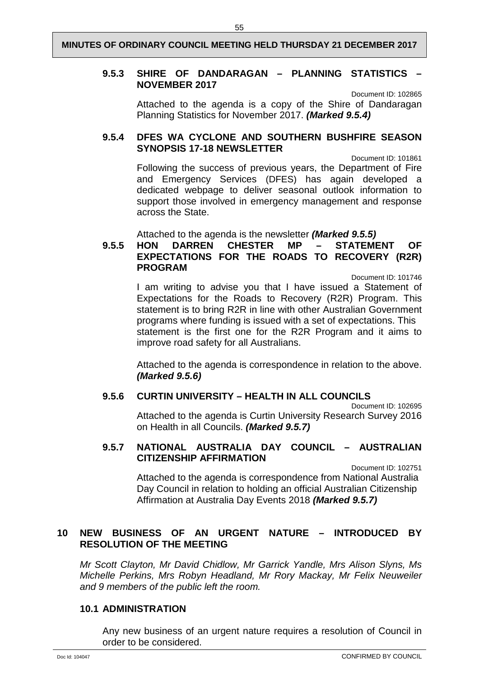#### <span id="page-57-0"></span>**9.5.3 SHIRE OF DANDARAGAN – PLANNING STATISTICS – NOVEMBER 2017**

Document ID: 102865

Attached to the agenda is a copy of the Shire of Dandaragan Planning Statistics for November 2017. *(Marked 9.5.4)*

## <span id="page-57-1"></span>**9.5.4 DFES WA CYCLONE AND SOUTHERN BUSHFIRE SEASON SYNOPSIS 17-18 NEWSLETTER**

Document ID: 101861 Following the success of previous years, the Department of Fire and Emergency Services (DFES) has again developed a dedicated webpage to deliver seasonal outlook information to support those involved in emergency management and response across the State.

Attached to the agenda is the newsletter *(Marked 9.5.5)*<br> **HON DARREN CHESTER MP - STATEMENT** 

#### <span id="page-57-2"></span>**9.5.5 HON DARREN CHESTER MP – STATEMENT OF EXPECTATIONS FOR THE ROADS TO RECOVERY (R2R) PROGRAM** Document ID: 101746

I am writing to advise you that I have issued a Statement of Expectations for the Roads to Recovery (R2R) Program. This statement is to bring R2R in line with other Australian Government programs where funding is issued with a set of expectations. This statement is the first one for the R2R Program and it aims to improve road safety for all Australians.

Attached to the agenda is correspondence in relation to the above. *(Marked 9.5.6)*

## <span id="page-57-3"></span>**9.5.6 CURTIN UNIVERSITY – HEALTH IN ALL COUNCILS**

Document ID: 102695 Attached to the agenda is Curtin University Research Survey 2016 on Health in all Councils. *(Marked 9.5.7)*

## <span id="page-57-4"></span>**9.5.7 NATIONAL AUSTRALIA DAY COUNCIL – AUSTRALIAN CITIZENSHIP AFFIRMATION**

Document ID: 102751

Attached to the agenda is correspondence from National Australia Day Council in relation to holding an official Australian Citizenship Affirmation at Australia Day Events 2018 *(Marked 9.5.7)*

## <span id="page-57-5"></span>**10 NEW BUSINESS OF AN URGENT NATURE – INTRODUCED BY RESOLUTION OF THE MEETING**

*Mr Scott Clayton, Mr David Chidlow, Mr Garrick Yandle, Mrs Alison Slyns, Ms Michelle Perkins, Mrs Robyn Headland, Mr Rory Mackay, Mr Felix Neuweiler and 9 members of the public left the room.*

## **10.1 ADMINISTRATION**

Any new business of an urgent nature requires a resolution of Council in order to be considered.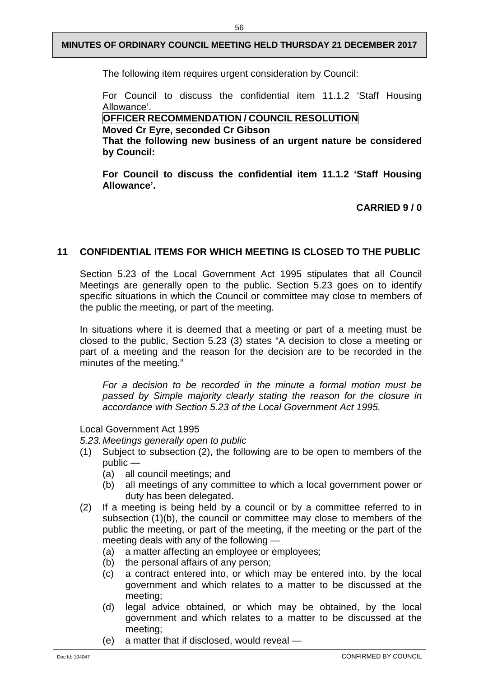The following item requires urgent consideration by Council:

For Council to discuss the confidential item 11.1.2 'Staff Housing Allowance'.

## **OFFICER RECOMMENDATION / COUNCIL RESOLUTION**

**Moved Cr Eyre, seconded Cr Gibson**

**That the following new business of an urgent nature be considered by Council:**

**For Council to discuss the confidential item 11.1.2 'Staff Housing Allowance'.**

**CARRIED 9 / 0**

## <span id="page-58-0"></span>**11 CONFIDENTIAL ITEMS FOR WHICH MEETING IS CLOSED TO THE PUBLIC**

Section 5.23 of the Local Government Act 1995 stipulates that all Council Meetings are generally open to the public. Section 5.23 goes on to identify specific situations in which the Council or committee may close to members of the public the meeting, or part of the meeting.

In situations where it is deemed that a meeting or part of a meeting must be closed to the public, Section 5.23 (3) states "A decision to close a meeting or part of a meeting and the reason for the decision are to be recorded in the minutes of the meeting."

*For a decision to be recorded in the minute a formal motion must be passed by Simple majority clearly stating the reason for the closure in accordance with Section 5.23 of the Local Government Act 1995.*

#### Local Government Act 1995

*5.23.Meetings generally open to public*

- (1) Subject to subsection (2), the following are to be open to members of the public —
	- (a) all council meetings; and
	- (b) all meetings of any committee to which a local government power or duty has been delegated.
- (2) If a meeting is being held by a council or by a committee referred to in subsection (1)(b), the council or committee may close to members of the public the meeting, or part of the meeting, if the meeting or the part of the meeting deals with any of the following —
	- (a) a matter affecting an employee or employees;
	- (b) the personal affairs of any person;
	- (c) a contract entered into, or which may be entered into, by the local government and which relates to a matter to be discussed at the meeting;
	- (d) legal advice obtained, or which may be obtained, by the local government and which relates to a matter to be discussed at the meeting;
	- (e) a matter that if disclosed, would reveal —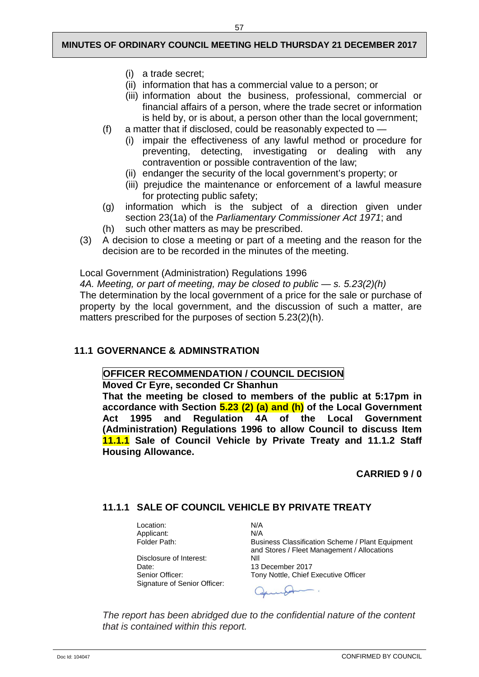- (i) a trade secret;
- (ii) information that has a commercial value to a person; or
- (iii) information about the business, professional, commercial or financial affairs of a person, where the trade secret or information is held by, or is about, a person other than the local government;
- (f) a matter that if disclosed, could be reasonably expected to
	- (i) impair the effectiveness of any lawful method or procedure for preventing, detecting, investigating or dealing with any contravention or possible contravention of the law;
	- (ii) endanger the security of the local government's property; or
	- (iii) prejudice the maintenance or enforcement of a lawful measure for protecting public safety;
- (g) information which is the subject of a direction given under section 23(1a) of the *Parliamentary Commissioner Act 1971*; and
- (h) such other matters as may be prescribed.
- (3) A decision to close a meeting or part of a meeting and the reason for the decision are to be recorded in the minutes of the meeting.

Local Government (Administration) Regulations 1996

*4A. Meeting, or part of meeting, may be closed to public — s. 5.23(2)(h)*

The determination by the local government of a price for the sale or purchase of property by the local government, and the discussion of such a matter, are matters prescribed for the purposes of section 5.23(2)(h).

#### <span id="page-59-0"></span>**11.1 GOVERNANCE & ADMINSTRATION**

#### **OFFICER RECOMMENDATION / COUNCIL DECISION**

**Moved Cr Eyre, seconded Cr Shanhun**

**That the meeting be closed to members of the public at 5:17pm in accordance with Section 5.23 (2) (a) and (h) of the Local Government Act 1995 and Regulation 4A of the Local Government (Administration) Regulations 1996 to allow Council to discuss Item 11.1.1 Sale of Council Vehicle by Private Treaty and 11.1.2 Staff Housing Allowance.**

**CARRIED 9 / 0**

## <span id="page-59-1"></span>**11.1.1 SALE OF COUNCIL VEHICLE BY PRIVATE TREATY**

Location: N/A<br>Applicant: N/A Applicant:<br>Folder Path:

Disclosure of Interest:<br>Date: Date: 13 December 2017<br>
Senior Officer: 13 December 2017 Signature of Senior Officer:

Business Classification Scheme / Plant Equipment and Stores / Fleet Management / Allocations Tony Nottle, Chief Executive Officer

*The report has been abridged due to the confidential nature of the content that is contained within this report.*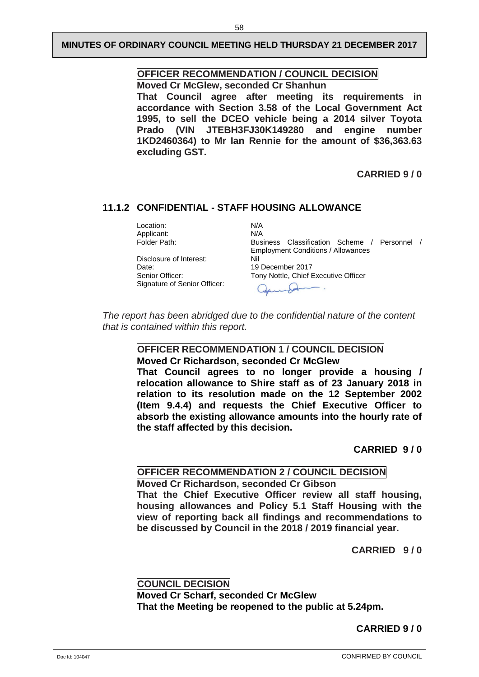## **OFFICER RECOMMENDATION / COUNCIL DECISION**

**Moved Cr McGlew, seconded Cr Shanhun**

**That Council agree after meeting its requirements in accordance with Section 3.58 of the Local Government Act 1995, to sell the DCEO vehicle being a 2014 silver Toyota Prado (VIN JTEBH3FJ30K149280 and engine number 1KD2460364) to Mr Ian Rennie for the amount of \$36,363.63 excluding GST.**

**CARRIED 9 / 0**

## <span id="page-60-0"></span>**11.1.2 CONFIDENTIAL - STAFF HOUSING ALLOWANCE**

Location: N/A<br>Applicant: N/A Applicant:<br>Folder Path:

Disclosure of Interest:<br>Date: Date: 19 December 2017<br>
Senior Officer: 19 December 2017 Signature of Senior Officer:

Business Classification Scheme / Personnel / Employment Conditions / Allowances Tony Nottle, Chief Executive Officer

*The report has been abridged due to the confidential nature of the content that is contained within this report.*

## **OFFICER RECOMMENDATION 1 / COUNCIL DECISION**

#### **Moved Cr Richardson, seconded Cr McGlew**

**That Council agrees to no longer provide a housing / relocation allowance to Shire staff as of 23 January 2018 in relation to its resolution made on the 12 September 2002 (Item 9.4.4) and requests the Chief Executive Officer to absorb the existing allowance amounts into the hourly rate of the staff affected by this decision.**

**CARRIED 9 / 0**

#### **OFFICER RECOMMENDATION 2 / COUNCIL DECISION**

**Moved Cr Richardson, seconded Cr Gibson That the Chief Executive Officer review all staff housing, housing allowances and Policy 5.1 Staff Housing with the view of reporting back all findings and recommendations to be discussed by Council in the 2018 / 2019 financial year.**

**CARRIED 9 / 0**

**COUNCIL DECISION Moved Cr Scharf, seconded Cr McGlew That the Meeting be reopened to the public at 5.24pm.**

## **CARRIED 9 / 0**